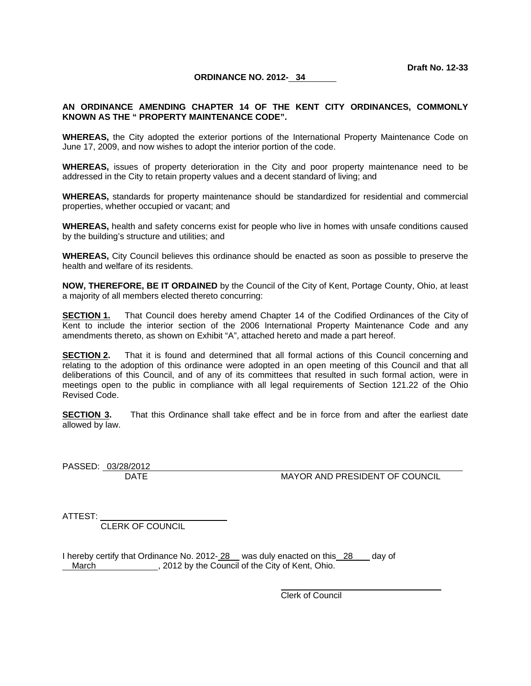## **AN ORDINANCE AMENDING CHAPTER 14 OF THE KENT CITY ORDINANCES, COMMONLY KNOWN AS THE " PROPERTY MAINTENANCE CODE".**

**WHEREAS,** the City adopted the exterior portions of the International Property Maintenance Code on June 17, 2009, and now wishes to adopt the interior portion of the code.

**WHEREAS,** issues of property deterioration in the City and poor property maintenance need to be addressed in the City to retain property values and a decent standard of living; and

**WHEREAS,** standards for property maintenance should be standardized for residential and commercial properties, whether occupied or vacant; and

**WHEREAS,** health and safety concerns exist for people who live in homes with unsafe conditions caused by the building's structure and utilities; and

**WHEREAS,** City Council believes this ordinance should be enacted as soon as possible to preserve the health and welfare of its residents.

**NOW, THEREFORE, BE IT ORDAINED** by the Council of the City of Kent, Portage County, Ohio, at least a majority of all members elected thereto concurring:

**SECTION 1.** That Council does hereby amend Chapter 14 of the Codified Ordinances of the City of Kent to include the interior section of the 2006 International Property Maintenance Code and any amendments thereto, as shown on Exhibit "A", attached hereto and made a part hereof.

**SECTION 2.** That it is found and determined that all formal actions of this Council concerning and relating to the adoption of this ordinance were adopted in an open meeting of this Council and that all deliberations of this Council, and of any of its committees that resulted in such formal action, were in meetings open to the public in compliance with all legal requirements of Section 121.22 of the Ohio Revised Code.

**SECTION 3.** That this Ordinance shall take effect and be in force from and after the earliest date allowed by law.

PASSED: 03/28/2012

DATE MAYOR AND PRESIDENT OF COUNCIL

ATTEST:

CLERK OF COUNCIL

I hereby certify that Ordinance No. 2012- 28 was duly enacted on this 28 day of March , 2012 by the Council of the City of Kent, Ohio.

Clerk of Council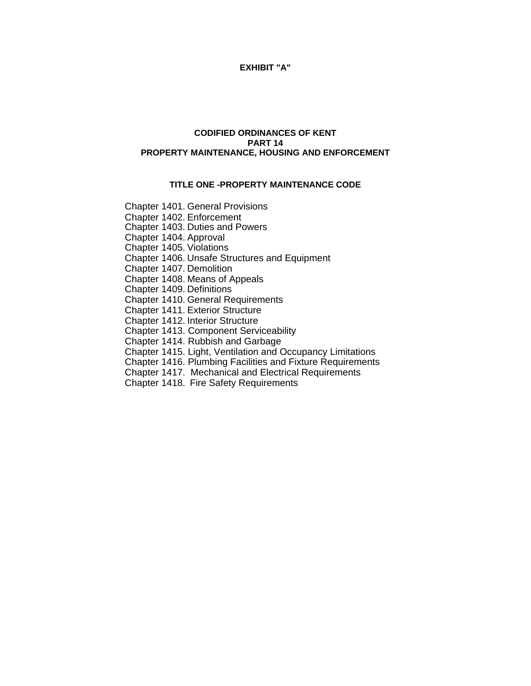## **EXHIBIT "A"**

#### **CODIFIED ORDINANCES OF KENT PART 14 PROPERTY MAINTENANCE, HOUSING AND ENFORCEMENT**

## **TITLE ONE -PROPERTY MAINTENANCE CODE**

Chapter 1401. General Provisions

Chapter 1402. Enforcement

Chapter 1403. Duties and Powers

Chapter 1404. Approval

Chapter 1405. Violations

Chapter 1406. Unsafe Structures and Equipment

Chapter 1407. Demolition

Chapter 1408. Means of Appeals

Chapter 1409. Definitions

Chapter 1410. General Requirements

Chapter 1411. Exterior Structure

Chapter 1412. Interior Structure

Chapter 1413. Component Serviceability

Chapter 1414. Rubbish and Garbage

Chapter 1415. Light, Ventilation and Occupancy Limitations

Chapter 1416. Plumbing Facilities and Fixture Requirements

Chapter 1417. Mechanical and Electrical Requirements

Chapter 1418. Fire Safety Requirements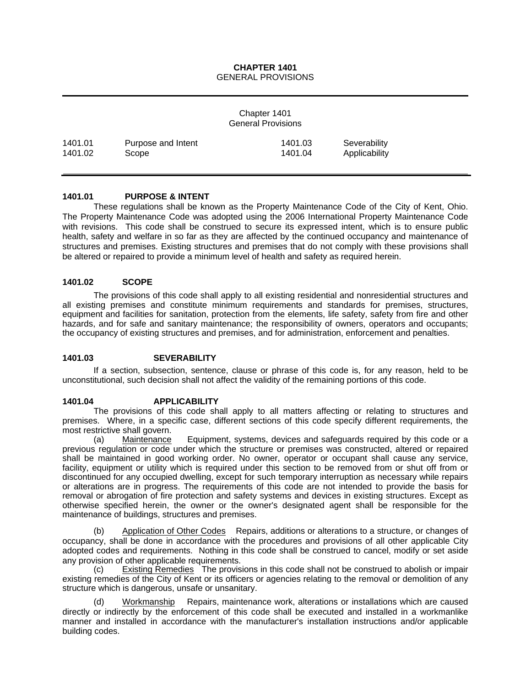## **CHAPTER 1401** GENERAL PROVISIONS

|         |                    | Chapter 1401<br><b>General Provisions</b> |               |  |
|---------|--------------------|-------------------------------------------|---------------|--|
| 1401.01 | Purpose and Intent | 1401.03                                   | Severability  |  |
| 1401.02 | Scope              | 1401.04                                   | Applicability |  |

## **1401.01 PURPOSE & INTENT**

These regulations shall be known as the Property Maintenance Code of the City of Kent, Ohio. The Property Maintenance Code was adopted using the 2006 International Property Maintenance Code with revisions. This code shall be construed to secure its expressed intent, which is to ensure public health, safety and welfare in so far as they are affected by the continued occupancy and maintenance of structures and premises. Existing structures and premises that do not comply with these provisions shall be altered or repaired to provide a minimum level of health and safety as required herein.

## **1401.02 SCOPE**

The provisions of this code shall apply to all existing residential and nonresidential structures and all existing premises and constitute minimum requirements and standards for premises, structures, equipment and facilities for sanitation, protection from the elements, life safety, safety from fire and other hazards, and for safe and sanitary maintenance; the responsibility of owners, operators and occupants; the occupancy of existing structures and premises, and for administration, enforcement and penalties.

## **1401.03 SEVERABILITY**

If a section, subsection, sentence, clause or phrase of this code is, for any reason, held to be unconstitutional, such decision shall not affect the validity of the remaining portions of this code.

## **1401.04 APPLICABILITY**

The provisions of this code shall apply to all matters affecting or relating to structures and premises. Where, in a specific case, different sections of this code specify different requirements, the most restrictive shall govern.<br>(a) Maintenance

(a) Maintenance Equipment, systems, devices and safeguards required by this code or a previous regulation or code under which the structure or premises was constructed, altered or repaired shall be maintained in good working order. No owner, operator or occupant shall cause any service, facility, equipment or utility which is required under this section to be removed from or shut off from or discontinued for any occupied dwelling, except for such temporary interruption as necessary while repairs or alterations are in progress. The requirements of this code are not intended to provide the basis for removal or abrogation of fire protection and safety systems and devices in existing structures. Except as otherwise specified herein, the owner or the owner's designated agent shall be responsible for the maintenance of buildings, structures and premises.

(b) Application of Other Codes Repairs, additions or alterations to a structure, or changes of occupancy, shall be done in accordance with the procedures and provisions of all other applicable City adopted codes and requirements. Nothing in this code shall be construed to cancel, modify or set aside any provision of other applicable requirements.

(c) Existing Remedies The provisions in this code shall not be construed to abolish or impair existing remedies of the City of Kent or its officers or agencies relating to the removal or demolition of any structure which is dangerous, unsafe or unsanitary.

Workmanship Repairs, maintenance work, alterations or installations which are caused directly or indirectly by the enforcement of this code shall be executed and installed in a workmanlike manner and installed in accordance with the manufacturer's installation instructions and/or applicable building codes.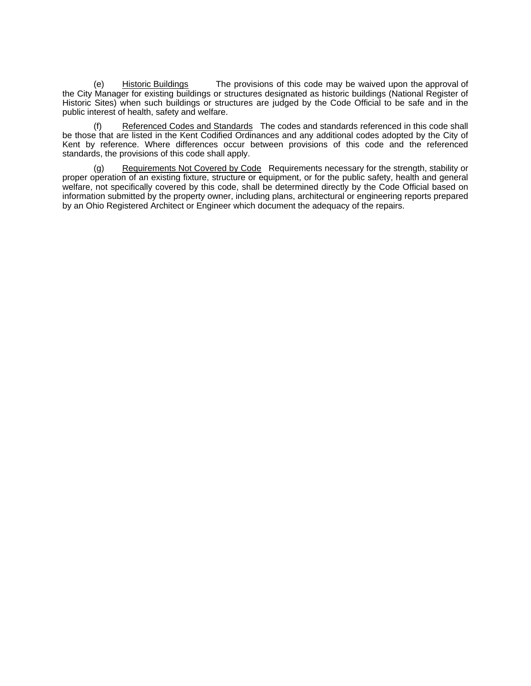(e) Historic Buildings The provisions of this code may be waived upon the approval of the City Manager for existing buildings or structures designated as historic buildings (National Register of Historic Sites) when such buildings or structures are judged by the Code Official to be safe and in the public interest of health, safety and welfare.

(f) Referenced Codes and Standards The codes and standards referenced in this code shall be those that are listed in the Kent Codified Ordinances and any additional codes adopted by the City of Kent by reference. Where differences occur between provisions of this code and the referenced standards, the provisions of this code shall apply.

(g) Requirements Not Covered by Code Requirements necessary for the strength, stability or proper operation of an existing fixture, structure or equipment, or for the public safety, health and general welfare, not specifically covered by this code, shall be determined directly by the Code Official based on information submitted by the property owner, including plans, architectural or engineering reports prepared by an Ohio Registered Architect or Engineer which document the adequacy of the repairs.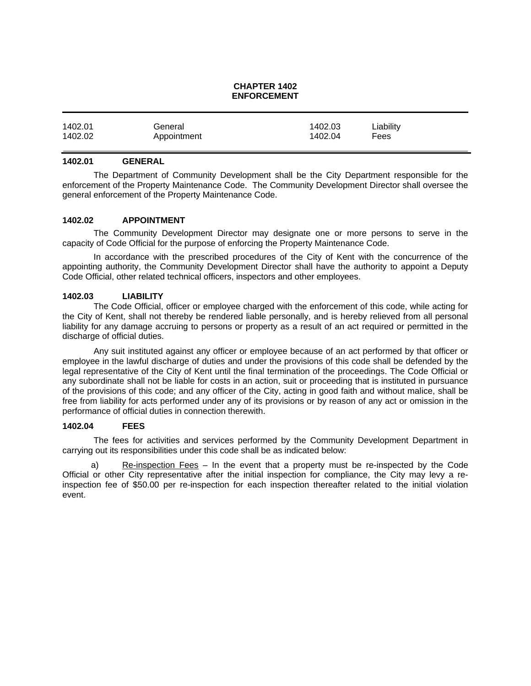#### **CHAPTER 1402 ENFORCEMENT**

| 1402.01<br>General<br>1402.02<br>Appointment | 1402.03<br>1402.04 | Liability<br>Fees |
|----------------------------------------------|--------------------|-------------------|
|----------------------------------------------|--------------------|-------------------|

#### **1402.01 GENERAL**

The Department of Community Development shall be the City Department responsible for the enforcement of the Property Maintenance Code. The Community Development Director shall oversee the general enforcement of the Property Maintenance Code.

#### **1402.02 APPOINTMENT**

The Community Development Director may designate one or more persons to serve in the capacity of Code Official for the purpose of enforcing the Property Maintenance Code.

In accordance with the prescribed procedures of the City of Kent with the concurrence of the appointing authority, the Community Development Director shall have the authority to appoint a Deputy Code Official, other related technical officers, inspectors and other employees.

#### **1402.03 LIABILITY**

The Code Official, officer or employee charged with the enforcement of this code, while acting for the City of Kent, shall not thereby be rendered liable personally, and is hereby relieved from all personal liability for any damage accruing to persons or property as a result of an act required or permitted in the discharge of official duties.

Any suit instituted against any officer or employee because of an act performed by that officer or employee in the lawful discharge of duties and under the provisions of this code shall be defended by the legal representative of the City of Kent until the final termination of the proceedings. The Code Official or any subordinate shall not be liable for costs in an action, suit or proceeding that is instituted in pursuance of the provisions of this code; and any officer of the City, acting in good faith and without malice, shall be free from liability for acts performed under any of its provisions or by reason of any act or omission in the performance of official duties in connection therewith.

#### **1402.04 FEES**

The fees for activities and services performed by the Community Development Department in carrying out its responsibilities under this code shall be as indicated below:

 $Re-$ inspection Fees – In the event that a property must be re-inspected by the Code Official or other City representative after the initial inspection for compliance, the City may levy a reinspection fee of \$50.00 per re-inspection for each inspection thereafter related to the initial violation event.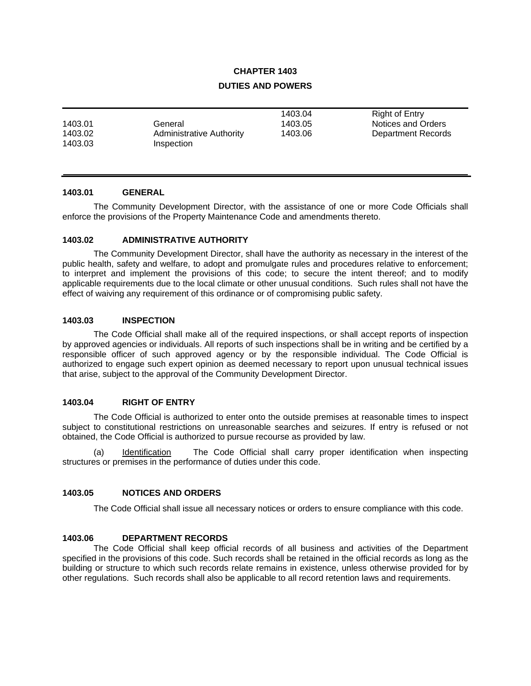#### **CHAPTER 1403**

#### **DUTIES AND POWERS**

|         |                                 | 1403.04 | Right of Entry     |
|---------|---------------------------------|---------|--------------------|
| 1403.01 | General                         | 1403.05 | Notices and Orders |
| 1403.02 | <b>Administrative Authority</b> | 1403.06 | Department Records |
| 1403.03 | Inspection                      |         |                    |

#### **1403.01 GENERAL**

The Community Development Director, with the assistance of one or more Code Officials shall enforce the provisions of the Property Maintenance Code and amendments thereto.

#### **1403.02 ADMINISTRATIVE AUTHORITY**

The Community Development Director, shall have the authority as necessary in the interest of the public health, safety and welfare, to adopt and promulgate rules and procedures relative to enforcement; to interpret and implement the provisions of this code; to secure the intent thereof; and to modify applicable requirements due to the local climate or other unusual conditions. Such rules shall not have the effect of waiving any requirement of this ordinance or of compromising public safety.

#### **1403.03 INSPECTION**

The Code Official shall make all of the required inspections, or shall accept reports of inspection by approved agencies or individuals. All reports of such inspections shall be in writing and be certified by a responsible officer of such approved agency or by the responsible individual. The Code Official is authorized to engage such expert opinion as deemed necessary to report upon unusual technical issues that arise, subject to the approval of the Community Development Director.

#### **1403.04 RIGHT OF ENTRY**

The Code Official is authorized to enter onto the outside premises at reasonable times to inspect subject to constitutional restrictions on unreasonable searches and seizures. If entry is refused or not obtained, the Code Official is authorized to pursue recourse as provided by law.

Identification The Code Official shall carry proper identification when inspecting structures or premises in the performance of duties under this code.

## **1403.05 NOTICES AND ORDERS**

The Code Official shall issue all necessary notices or orders to ensure compliance with this code.

## **1403.06 DEPARTMENT RECORDS**

The Code Official shall keep official records of all business and activities of the Department specified in the provisions of this code. Such records shall be retained in the official records as long as the building or structure to which such records relate remains in existence, unless otherwise provided for by other regulations. Such records shall also be applicable to all record retention laws and requirements.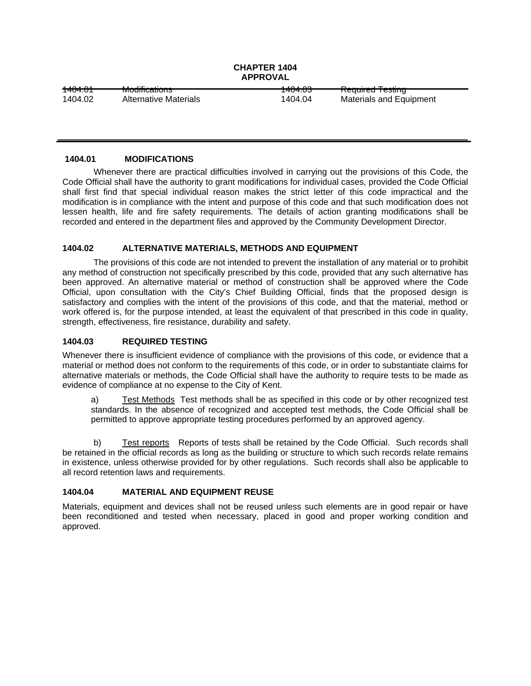## **CHAPTER 1404 APPROVAL**

|                    | $M = -111$               | $\lambda$ $\lambda$ $\lambda$ $\lambda$ | Designed Texture               |
|--------------------|--------------------------|-----------------------------------------|--------------------------------|
| <del>1404.01</del> | <u>iviuuilluatiulis </u> | 1 <del>404.03</del>                     | <u>Redailed Testing</u>        |
| 1404.02            | Alternative Materials    | 1404.04                                 | <b>Materials and Equipment</b> |

#### **1404.01 MODIFICATIONS**

Whenever there are practical difficulties involved in carrying out the provisions of this Code, the Code Official shall have the authority to grant modifications for individual cases, provided the Code Official shall first find that special individual reason makes the strict letter of this code impractical and the modification is in compliance with the intent and purpose of this code and that such modification does not lessen health, life and fire safety requirements. The details of action granting modifications shall be recorded and entered in the department files and approved by the Community Development Director.

## **1404.02 ALTERNATIVE MATERIALS, METHODS AND EQUIPMENT**

The provisions of this code are not intended to prevent the installation of any material or to prohibit any method of construction not specifically prescribed by this code, provided that any such alternative has been approved. An alternative material or method of construction shall be approved where the Code Official, upon consultation with the City's Chief Building Official, finds that the proposed design is satisfactory and complies with the intent of the provisions of this code, and that the material, method or work offered is, for the purpose intended, at least the equivalent of that prescribed in this code in quality, strength, effectiveness, fire resistance, durability and safety.

## **1404.03 REQUIRED TESTING**

Whenever there is insufficient evidence of compliance with the provisions of this code, or evidence that a material or method does not conform to the requirements of this code, or in order to substantiate claims for alternative materials or methods, the Code Official shall have the authority to require tests to be made as evidence of compliance at no expense to the City of Kent.

a) Test Methods Test methods shall be as specified in this code or by other recognized test standards. In the absence of recognized and accepted test methods, the Code Official shall be permitted to approve appropriate testing procedures performed by an approved agency.

b) Test reports Reports of tests shall be retained by the Code Official. Such records shall be retained in the official records as long as the building or structure to which such records relate remains in existence, unless otherwise provided for by other regulations. Such records shall also be applicable to all record retention laws and requirements.

## **1404.04 MATERIAL AND EQUIPMENT REUSE**

Materials, equipment and devices shall not be reused unless such elements are in good repair or have been reconditioned and tested when necessary, placed in good and proper working condition and approved.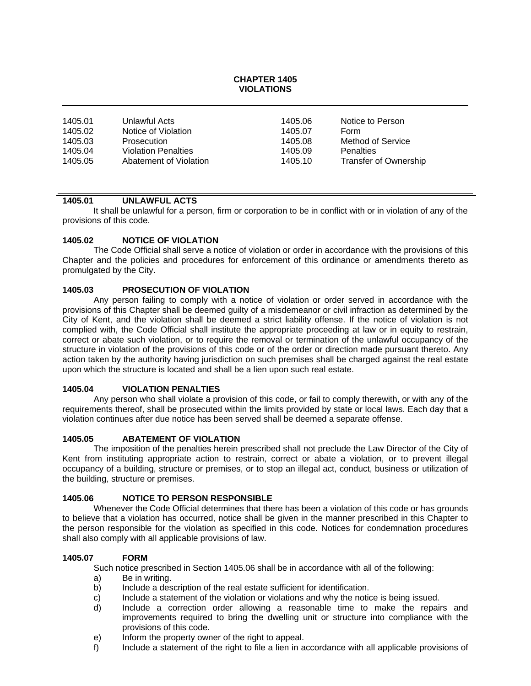## **CHAPTER 1405 VIOLATIONS**

| 1405.01 | Unlawful Acts              | 1405.06 | Notice to Person      |
|---------|----------------------------|---------|-----------------------|
| 1405.02 | Notice of Violation        | 1405.07 | Form                  |
| 1405.03 | Prosecution                | 1405.08 | Method of Service     |
| 1405.04 | <b>Violation Penalties</b> | 1405.09 | <b>Penalties</b>      |
| 1405.05 | Abatement of Violation     | 1405.10 | Transfer of Ownership |

## **1405.01 UNLAWFUL ACTS**

 It shall be unlawful for a person, firm or corporation to be in conflict with or in violation of any of the provisions of this code.

#### **1405.02 NOTICE OF VIOLATION**

The Code Official shall serve a notice of violation or order in accordance with the provisions of this Chapter and the policies and procedures for enforcement of this ordinance or amendments thereto as promulgated by the City.

#### **1405.03 PROSECUTION OF VIOLATION**

Any person failing to comply with a notice of violation or order served in accordance with the provisions of this Chapter shall be deemed guilty of a misdemeanor or civil infraction as determined by the City of Kent, and the violation shall be deemed a strict liability offense. If the notice of violation is not complied with, the Code Official shall institute the appropriate proceeding at law or in equity to restrain, correct or abate such violation, or to require the removal or termination of the unlawful occupancy of the structure in violation of the provisions of this code or of the order or direction made pursuant thereto. Any action taken by the authority having jurisdiction on such premises shall be charged against the real estate upon which the structure is located and shall be a lien upon such real estate.

#### **1405.04 VIOLATION PENALTIES**

Any person who shall violate a provision of this code, or fail to comply therewith, or with any of the requirements thereof, shall be prosecuted within the limits provided by state or local laws. Each day that a violation continues after due notice has been served shall be deemed a separate offense.

## **1405.05 ABATEMENT OF VIOLATION**

The imposition of the penalties herein prescribed shall not preclude the Law Director of the City of Kent from instituting appropriate action to restrain, correct or abate a violation, or to prevent illegal occupancy of a building, structure or premises, or to stop an illegal act, conduct, business or utilization of the building, structure or premises.

## **1405.06 NOTICE TO PERSON RESPONSIBLE**

Whenever the Code Official determines that there has been a violation of this code or has grounds to believe that a violation has occurred, notice shall be given in the manner prescribed in this Chapter to the person responsible for the violation as specified in this code. Notices for condemnation procedures shall also comply with all applicable provisions of law.

#### **1405.07 FORM**

Such notice prescribed in Section 1405.06 shall be in accordance with all of the following:

- a) Be in writing.
- b) Include a description of the real estate sufficient for identification.
- c) Include a statement of the violation or violations and why the notice is being issued.
- d) Include a correction order allowing a reasonable time to make the repairs and improvements required to bring the dwelling unit or structure into compliance with the provisions of this code.
- e) Inform the property owner of the right to appeal.
- f) Include a statement of the right to file a lien in accordance with all applicable provisions of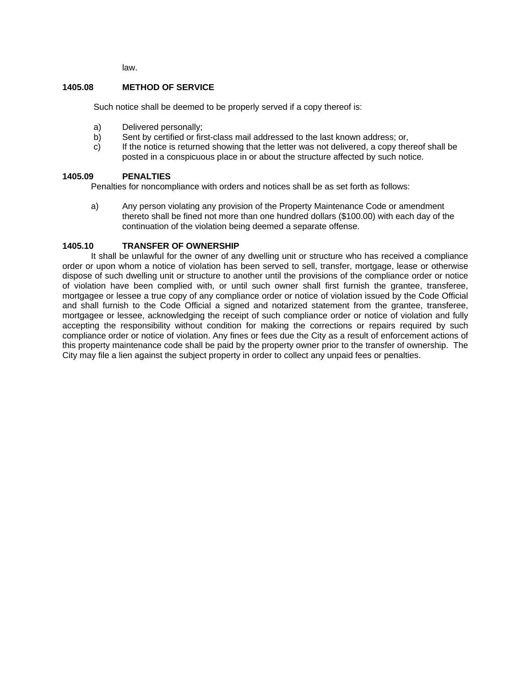law.

## **1405.08 METHOD OF SERVICE**

Such notice shall be deemed to be properly served if a copy thereof is:

- a) Delivered personally;
- b) Sent by certified or first-class mail addressed to the last known address; or,
- c) If the notice is returned showing that the letter was not delivered, a copy thereof shall be posted in a conspicuous place in or about the structure affected by such notice.

## **1405.09 PENALTIES**

Penalties for noncompliance with orders and notices shall be as set forth as follows:

a) Any person violating any provision of the Property Maintenance Code or amendment thereto shall be fined not more than one hundred dollars (\$100.00) with each day of the continuation of the violation being deemed a separate offense.

## **1405.10 TRANSFER OF OWNERSHIP**

It shall be unlawful for the owner of any dwelling unit or structure who has received a compliance order or upon whom a notice of violation has been served to sell, transfer, mortgage, lease or otherwise dispose of such dwelling unit or structure to another until the provisions of the compliance order or notice of violation have been complied with, or until such owner shall first furnish the grantee, transferee, mortgagee or lessee a true copy of any compliance order or notice of violation issued by the Code Official and shall furnish to the Code Official a signed and notarized statement from the grantee, transferee, mortgagee or lessee, acknowledging the receipt of such compliance order or notice of violation and fully accepting the responsibility without condition for making the corrections or repairs required by such compliance order or notice of violation. Any fines or fees due the City as a result of enforcement actions of this property maintenance code shall be paid by the property owner prior to the transfer of ownership. The City may file a lien against the subject property in order to collect any unpaid fees or penalties.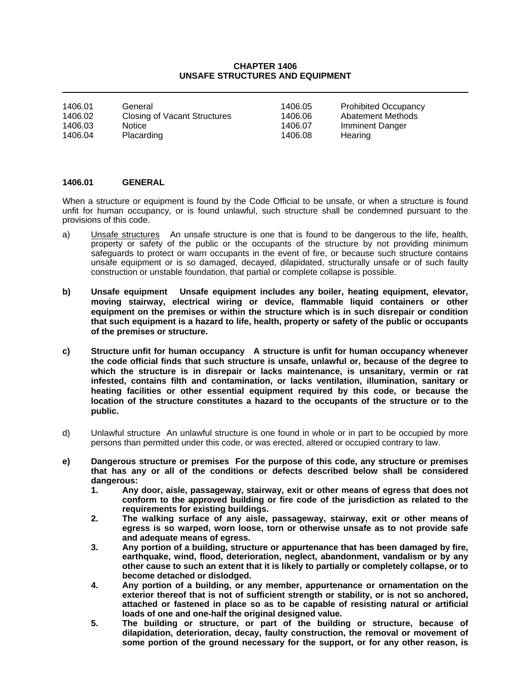## **CHAPTER 1406 UNSAFE STRUCTURES AND EQUIPMENT**

| 1406.01 | General                             |
|---------|-------------------------------------|
| 1406.02 | <b>Closing of Vacant Structures</b> |
| 1406.03 | <b>Notice</b>                       |
| 1406.04 | Placarding                          |

1406.05 Prohibited Occupancy<br>1406.06 Abatement Methods Abatement Methods 1406.07 Imminent Danger 1406.08 Hearing

#### **1406.01 GENERAL**

When a structure or equipment is found by the Code Official to be unsafe, or when a structure is found unfit for human occupancy, or is found unlawful, such structure shall be condemned pursuant to the provisions of this code.

- a) Unsafe structures An unsafe structure is one that is found to be dangerous to the life, health, property or safety of the public or the occupants of the structure by not providing minimum safeguards to protect or warn occupants in the event of fire, or because such structure contains unsafe equipment or is so damaged, decayed, dilapidated, structurally unsafe or of such faulty construction or unstable foundation, that partial or complete collapse is possible.
- **b) Unsafe equipment Unsafe equipment includes any boiler, heating equipment, elevator, moving stairway, electrical wiring or device, flammable liquid containers or other equipment on the premises or within the structure which is in such disrepair or condition that such equipment is a hazard to life, health, property or safety of the public or occupants of the premises or structure.**
- **c) Structure unfit for human occupancy A structure is unfit for human occupancy whenever the code official finds that such structure is unsafe, unlawful or, because of the degree to which the structure is in disrepair or lacks maintenance, is unsanitary, vermin or rat infested, contains filth and contamination, or lacks ventilation, illumination, sanitary or heating facilities or other essential equipment required by this code, or because the location of the structure constitutes a hazard to the occupants of the structure or to the public.**
- d) Unlawful structure An unlawful structure is one found in whole or in part to be occupied by more persons than permitted under this code, or was erected, altered or occupied contrary to law.
- **e) Dangerous structure or premises For the purpose of this code, any structure or premises that has any or all of the conditions or defects described below shall be considered dangerous:**
	- **1. Any door, aisle, passageway, stairway, exit or other means of egress that does not conform to the approved building or fire code of the jurisdiction as related to the requirements for existing buildings.**
	- **2. The walking surface of any aisle, passageway, stairway, exit or other means of egress is so warped, worn loose, torn or otherwise unsafe as to not provide safe and adequate means of egress.**
	- **3. Any portion of a building, structure or appurtenance that has been damaged by fire, earthquake, wind, flood, deterioration, neglect, abandonment, vandalism or by any other cause to such an extent that it is likely to partially or completely collapse, or to become detached or dislodged.**
	- **4. Any portion of a building, or any member, appurtenance or ornamentation on the exterior thereof that is not of sufficient strength or stability, or is not so anchored, attached or fastened in place so as to be capable of resisting natural or artificial loads of one and one-half the original designed value.**
	- **5. The building or structure, or part of the building or structure, because of dilapidation, deterioration, decay, faulty construction, the removal or movement of some portion of the ground necessary for the support, or for any other reason, is**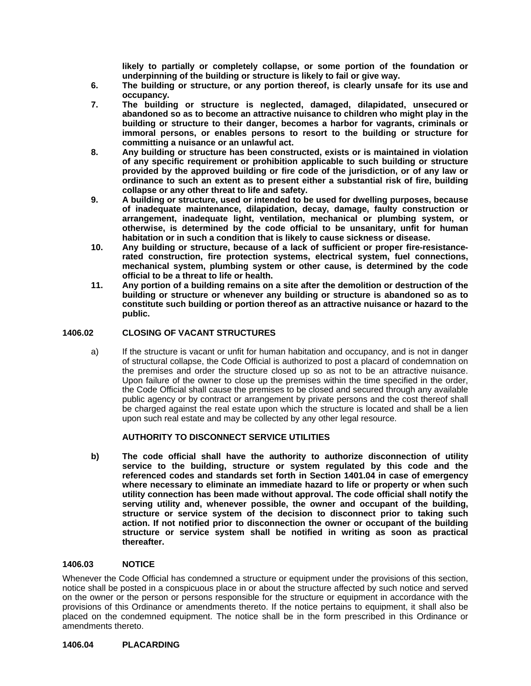**likely to partially or completely collapse, or some portion of the foundation or underpinning of the building or structure is likely to fail or give way.**

- **6. The building or structure, or any portion thereof, is clearly unsafe for its use and occupancy.**
- **7. The building or structure is neglected, damaged, dilapidated, unsecured or abandoned so as to become an attractive nuisance to children who might play in the building or structure to their danger, becomes a harbor for vagrants, criminals or immoral persons, or enables persons to resort to the building or structure for committing a nuisance or an unlawful act.**
- **8. Any building or structure has been constructed, exists or is maintained in violation of any specific requirement or prohibition applicable to such building or structure provided by the approved building or fire code of the jurisdiction, or of any law or ordinance to such an extent as to present either a substantial risk of fire, building collapse or any other threat to life and safety.**
- **9. A building or structure, used or intended to be used for dwelling purposes, because of inadequate maintenance, dilapidation, decay, damage, faulty construction or arrangement, inadequate light, ventilation, mechanical or plumbing system, or otherwise, is determined by the code official to be unsanitary, unfit for human habitation or in such a condition that is likely to cause sickness or disease.**
- **10. Any building or structure, because of a lack of sufficient or proper fire-resistancerated construction, fire protection systems, electrical system, fuel connections, mechanical system, plumbing system or other cause, is determined by the code official to be a threat to life or health.**
- **11. Any portion of a building remains on a site after the demolition or destruction of the building or structure or whenever any building or structure is abandoned so as to constitute such building or portion thereof as an attractive nuisance or hazard to the public.**

## **1406.02 CLOSING OF VACANT STRUCTURES**

a) If the structure is vacant or unfit for human habitation and occupancy, and is not in danger of structural collapse, the Code Official is authorized to post a placard of condemnation on the premises and order the structure closed up so as not to be an attractive nuisance. Upon failure of the owner to close up the premises within the time specified in the order, the Code Official shall cause the premises to be closed and secured through any available public agency or by contract or arrangement by private persons and the cost thereof shall be charged against the real estate upon which the structure is located and shall be a lien upon such real estate and may be collected by any other legal resource.

## **AUTHORITY TO DISCONNECT SERVICE UTILITIES**

**b) The code official shall have the authority to authorize disconnection of utility service to the building, structure or system regulated by this code and the referenced codes and standards set forth in Section 1401.04 in case of emergency where necessary to eliminate an immediate hazard to life or property or when such utility connection has been made without approval. The code official shall notify the serving utility and, whenever possible, the owner and occupant of the building, structure or service system of the decision to disconnect prior to taking such action. If not notified prior to disconnection the owner or occupant of the building structure or service system shall be notified in writing as soon as practical thereafter.** 

## **1406.03 NOTICE**

Whenever the Code Official has condemned a structure or equipment under the provisions of this section, notice shall be posted in a conspicuous place in or about the structure affected by such notice and served on the owner or the person or persons responsible for the structure or equipment in accordance with the provisions of this Ordinance or amendments thereto. If the notice pertains to equipment, it shall also be placed on the condemned equipment. The notice shall be in the form prescribed in this Ordinance or amendments thereto.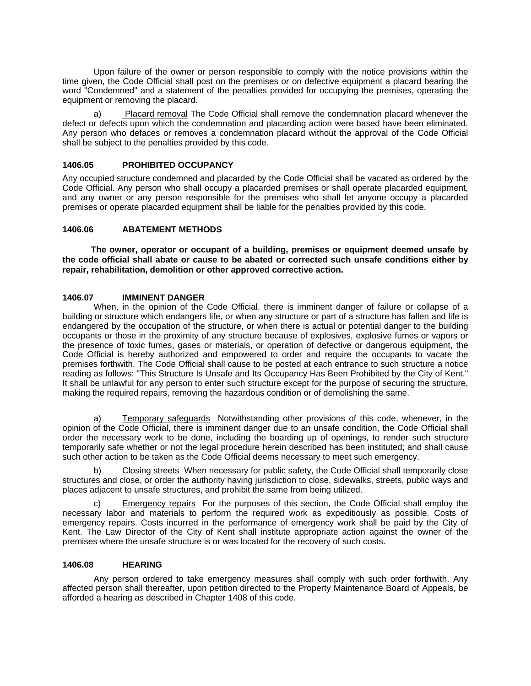Upon failure of the owner or person responsible to comply with the notice provisions within the time given, the Code Official shall post on the premises or on defective equipment a placard bearing the word "Condemned" and a statement of the penalties provided for occupying the premises, operating the equipment or removing the placard.

a) Placard removal The Code Official shall remove the condemnation placard whenever the defect or defects upon which the condemnation and placarding action were based have been eliminated. Any person who defaces or removes a condemnation placard without the approval of the Code Official shall be subject to the penalties provided by this code.

## **1406.05 PROHIBITED OCCUPANCY**

Any occupied structure condemned and placarded by the Code Official shall be vacated as ordered by the Code Official. Any person who shall occupy a placarded premises or shall operate placarded equipment, and any owner or any person responsible for the premises who shall let anyone occupy a placarded premises or operate placarded equipment shall be liable for the penalties provided by this code.

## **1406.06 ABATEMENT METHODS**

**The owner, operator or occupant of a building, premises or equipment deemed unsafe by the code official shall abate or cause to be abated or corrected such unsafe conditions either by repair, rehabilitation, demolition or other approved corrective action.**

## **1406.07 IMMINENT DANGER**

When, in the opinion of the Code Official. there is imminent danger of failure or collapse of a building or structure which endangers life, or when any structure or part of a structure has fallen and life is endangered by the occupation of the structure, or when there is actual or potential danger to the building occupants or those in the proximity of any structure because of explosives, explosive fumes or vapors or the presence of toxic fumes, gases or materials, or operation of defective or dangerous equipment, the Code Official is hereby authorized and empowered to order and require the occupants to vacate the premises forthwith. The Code Official shall cause to be posted at each entrance to such structure a notice reading as follows: "This Structure Is Unsafe and Its Occupancy Has Been Prohibited by the City of Kent." It shall be unlawful for any person to enter such structure except for the purpose of securing the structure, making the required repairs, removing the hazardous condition or of demolishing the same.

a) Temporary safeguards Notwithstanding other provisions of this code, whenever, in the opinion of the Code Official, there is imminent danger due to an unsafe condition, the Code Official shall order the necessary work to be done, including the boarding up of openings, to render such structure temporarily safe whether or not the legal procedure herein described has been instituted; and shall cause such other action to be taken as the Code Official deems necessary to meet such emergency.

b) Closing streets When necessary for public safety, the Code Official shall temporarily close structures and close, or order the authority having jurisdiction to close, sidewalks, streets, public ways and places adjacent to unsafe structures, and prohibit the same from being utilized.

c) Emergency repairs For the purposes of this section, the Code Official shall employ the necessary labor and materials to perform the required work as expeditiously as possible. Costs of emergency repairs. Costs incurred in the performance of emergency work shall be paid by the City of Kent. The Law Director of the City of Kent shall institute appropriate action against the owner of the premises where the unsafe structure is or was located for the recovery of such costs.

## **1406.08 HEARING**

Any person ordered to take emergency measures shall comply with such order forthwith. Any affected person shall thereafter, upon petition directed to the Property Maintenance Board of Appeals, be afforded a hearing as described in Chapter 1408 of this code.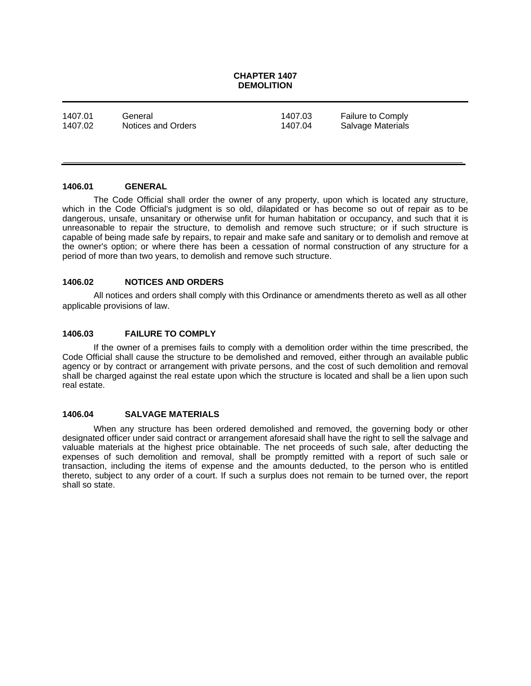## **CHAPTER 1407 DEMOLITION**

1407.01 General 1407.02 Notices and Orders

1407.03 Failure to Comply 1407.04 Salvage Materials

## **1406.01 GENERAL**

The Code Official shall order the owner of any property, upon which is located any structure, which in the Code Official's judgment is so old, dilapidated or has become so out of repair as to be dangerous, unsafe, unsanitary or otherwise unfit for human habitation or occupancy, and such that it is unreasonable to repair the structure, to demolish and remove such structure; or if such structure is capable of being made safe by repairs, to repair and make safe and sanitary or to demolish and remove at the owner's option; or where there has been a cessation of normal construction of any structure for a period of more than two years, to demolish and remove such structure.

## **1406.02 NOTICES AND ORDERS**

All notices and orders shall comply with this Ordinance or amendments thereto as well as all other applicable provisions of law.

## **1406.03 FAILURE TO COMPLY**

If the owner of a premises fails to comply with a demolition order within the time prescribed, the Code Official shall cause the structure to be demolished and removed, either through an available public agency or by contract or arrangement with private persons, and the cost of such demolition and removal shall be charged against the real estate upon which the structure is located and shall be a lien upon such real estate.

## **1406.04 SALVAGE MATERIALS**

When any structure has been ordered demolished and removed, the governing body or other designated officer under said contract or arrangement aforesaid shall have the right to sell the salvage and valuable materials at the highest price obtainable. The net proceeds of such sale, after deducting the expenses of such demolition and removal, shall be promptly remitted with a report of such sale or transaction, including the items of expense and the amounts deducted, to the person who is entitled thereto, subject to any order of a court. If such a surplus does not remain to be turned over, the report shall so state.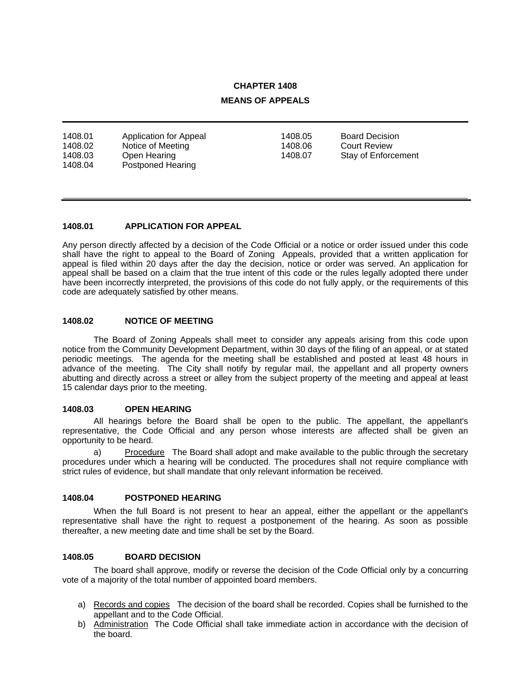## **CHAPTER 1408**

## **MEANS OF APPEALS**

1408.01 Application for Appeal 1408.02 Notice of Meeting 1408.03 Open Hearing 1408.04 Postponed Hearing

1408.05 Board Decision 1408.06 Court Review 1408.07 Stay of Enforcement

## **1408.01 APPLICATION FOR APPEAL**

Any person directly affected by a decision of the Code Official or a notice or order issued under this code shall have the right to appeal to the Board of Zoning Appeals, provided that a written application for appeal is filed within 20 days after the day the decision, notice or order was served. An application for appeal shall be based on a claim that the true intent of this code or the rules legally adopted there under have been incorrectly interpreted, the provisions of this code do not fully apply, or the requirements of this code are adequately satisfied by other means.

## **1408.02 NOTICE OF MEETING**

The Board of Zoning Appeals shall meet to consider any appeals arising from this code upon notice from the Community Development Department, within 30 days of the filing of an appeal, or at stated periodic meetings. The agenda for the meeting shall be established and posted at least 48 hours in advance of the meeting. The City shall notify by regular mail, the appellant and all property owners abutting and directly across a street or alley from the subject property of the meeting and appeal at least 15 calendar days prior to the meeting.

## **1408.03 OPEN HEARING**

All hearings before the Board shall be open to the public. The appellant, the appellant's representative, the Code Official and any person whose interests are affected shall be given an opportunity to be heard.

a) Procedure The Board shall adopt and make available to the public through the secretary procedures under which a hearing will be conducted. The procedures shall not require compliance with strict rules of evidence, but shall mandate that only relevant information be received.

## **1408.04 POSTPONED HEARING**

When the full Board is not present to hear an appeal, either the appellant or the appellant's representative shall have the right to request a postponement of the hearing. As soon as possible thereafter, a new meeting date and time shall be set by the Board.

## **1408.05 BOARD DECISION**

The board shall approve, modify or reverse the decision of the Code Official only by a concurring vote of a majority of the total number of appointed board members.

- a) Records and copies The decision of the board shall be recorded. Copies shall be furnished to the appellant and to the Code Official.
- b) Administration The Code Official shall take immediate action in accordance with the decision of the board.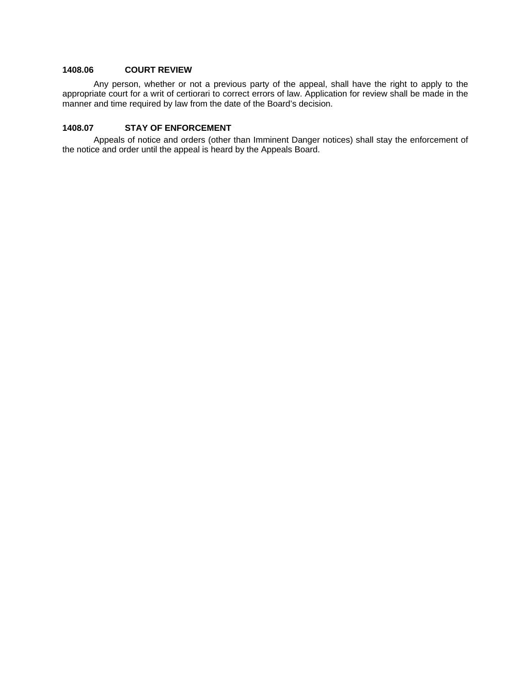#### **1408.06 COURT REVIEW**

Any person, whether or not a previous party of the appeal, shall have the right to apply to the appropriate court for a writ of certiorari to correct errors of law. Application for review shall be made in the manner and time required by law from the date of the Board's decision.

## **1408.07 STAY OF ENFORCEMENT**

Appeals of notice and orders (other than Imminent Danger notices) shall stay the enforcement of the notice and order until the appeal is heard by the Appeals Board.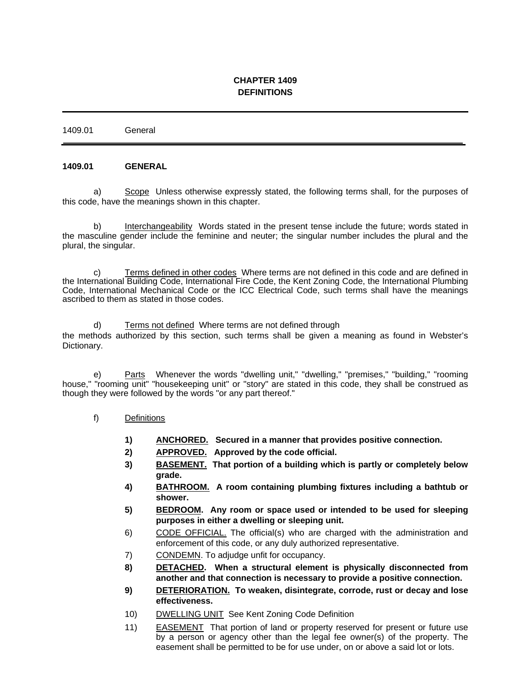## **CHAPTER 1409 DEFINITIONS**

1409.01 General

#### **1409.01 GENERAL**

a) Scope Unless otherwise expressly stated, the following terms shall, for the purposes of this code, have the meanings shown in this chapter.

b) Interchangeability Words stated in the present tense include the future; words stated in the masculine gender include the feminine and neuter; the singular number includes the plural and the plural, the singular.

c) Terms defined in other codes Where terms are not defined in this code and are defined in the International Building Code, International Fire Code, the Kent Zoning Code, the International Plumbing Code, International Mechanical Code or the ICC Electrical Code, such terms shall have the meanings ascribed to them as stated in those codes.

d) Terms not defined Where terms are not defined through the methods authorized by this section, such terms shall be given a meaning as found in Webster's Dictionary.

e) Parts Whenever the words "dwelling unit," "dwelling," "premises," "building," "rooming house," "rooming unit" "housekeeping unit" or "story" are stated in this code, they shall be construed as though they were followed by the words "or any part thereof."

- f) Definitions
	- **1) ANCHORED. Secured in a manner that provides positive connection.**
	- **2) APPROVED. Approved by the code official.**
	- **3) BASEMENT. That portion of a building which is partly or completely below grade.**
	- **4) BATHROOM. A room containing plumbing fixtures including a bathtub or shower.**
	- **5) BEDROOM. Any room or space used or intended to be used for sleeping purposes in either a dwelling or sleeping unit.**
	- 6) CODE OFFICIAL. The official(s) who are charged with the administration and enforcement of this code, or any duly authorized representative.
	- 7) CONDEMN. To adjudge unfit for occupancy.
	- **8) DETACHED. When a structural element is physically disconnected from another and that connection is necessary to provide a positive connection.**
	- **9) DETERIORATION. To weaken, disintegrate, corrode, rust or decay and lose effectiveness.**
	- 10) DWELLING UNIT See Kent Zoning Code Definition
	- 11) EASEMENT That portion of land or property reserved for present or future use by a person or agency other than the legal fee owner(s) of the property. The easement shall be permitted to be for use under, on or above a said lot or lots.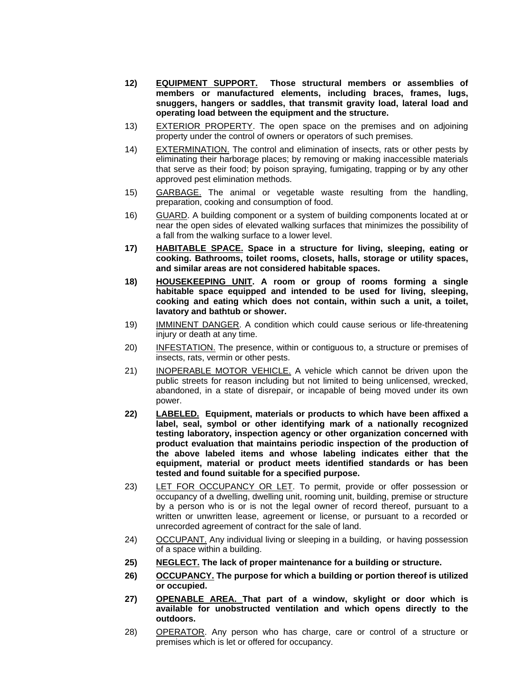- **12) EQUIPMENT SUPPORT. Those structural members or assemblies of members or manufactured elements, including braces, frames, lugs, snuggers, hangers or saddles, that transmit gravity load, lateral load and operating load between the equipment and the structure.**
- 13) EXTERIOR PROPERTY. The open space on the premises and on adjoining property under the control of owners or operators of such premises.
- 14) EXTERMINATION. The control and elimination of insects, rats or other pests by eliminating their harborage places; by removing or making inaccessible materials that serve as their food; by poison spraying, fumigating, trapping or by any other approved pest elimination methods.
- 15) GARBAGE. The animal or vegetable waste resulting from the handling, preparation, cooking and consumption of food.
- 16) GUARD. A building component or a system of building components located at or near the open sides of elevated walking surfaces that minimizes the possibility of a fall from the walking surface to a lower level.
- **17) HABITABLE SPACE. Space in a structure for living, sleeping, eating or cooking. Bathrooms, toilet rooms, closets, halls, storage or utility spaces, and similar areas are not considered habitable spaces.**
- **18) HOUSEKEEPING UNIT. A room or group of rooms forming a single habitable space equipped and intended to be used for living, sleeping, cooking and eating which does not contain, within such a unit, a toilet, lavatory and bathtub or shower.**
- 19) IMMINENT DANGER. A condition which could cause serious or life-threatening injury or death at any time.
- 20) INFESTATION. The presence, within or contiguous to, a structure or premises of insects, rats, vermin or other pests.
- 21) INOPERABLE MOTOR VEHICLE. A vehicle which cannot be driven upon the public streets for reason including but not limited to being unlicensed, wrecked, abandoned, in a state of disrepair, or incapable of being moved under its own power.
- **22) LABELED. Equipment, materials or products to which have been affixed a label, seal, symbol or other identifying mark of a nationally recognized testing laboratory, inspection agency or other organization concerned with product evaluation that maintains periodic inspection of the production of the above labeled items and whose labeling indicates either that the equipment, material or product meets identified standards or has been tested and found suitable for a specified purpose.**
- 23) LET FOR OCCUPANCY OR LET. To permit, provide or offer possession or occupancy of a dwelling, dwelling unit, rooming unit, building, premise or structure by a person who is or is not the legal owner of record thereof, pursuant to a written or unwritten lease, agreement or license, or pursuant to a recorded or unrecorded agreement of contract for the sale of land.
- 24) OCCUPANT. Any individual living or sleeping in a building, or having possession of a space within a building.
- **25) NEGLECT. The lack of proper maintenance for a building or structure.**
- **26) OCCUPANCY. The purpose for which a building or portion thereof is utilized or occupied.**
- **27) OPENABLE AREA. That part of a window, skylight or door which is available for unobstructed ventilation and which opens directly to the outdoors.**
- 28) OPERATOR. Any person who has charge, care or control of a structure or premises which is let or offered for occupancy.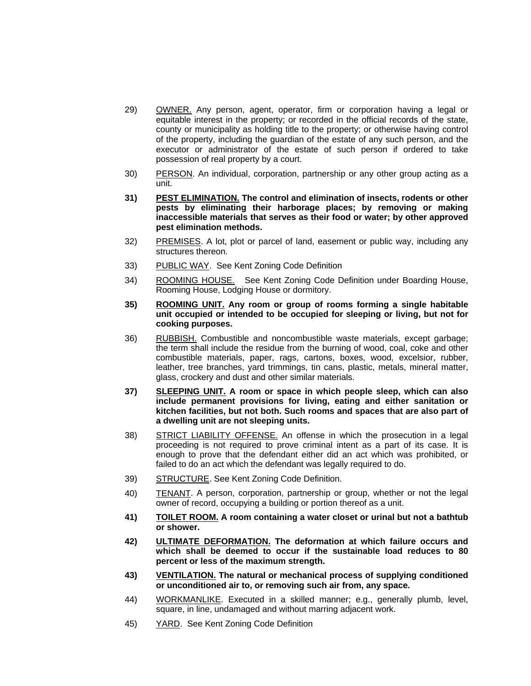- 29) OWNER. Any person, agent, operator, firm or corporation having a legal or equitable interest in the property; or recorded in the official records of the state, county or municipality as holding title to the property; or otherwise having control of the property, including the guardian of the estate of any such person, and the executor or administrator of the estate of such person if ordered to take possession of real property by a court.
- 30) PERSON. An individual, corporation, partnership or any other group acting as a unit.
- **31) PEST ELIMINATION. The control and elimination of insects, rodents or other pests by eliminating their harborage places; by removing or making inaccessible materials that serves as their food or water; by other approved pest elimination methods.**
- 32) PREMISES. A lot, plot or parcel of land, easement or public way, including any structures thereon.
- 33) PUBLIC WAY. See Kent Zoning Code Definition
- 34) ROOMING HOUSE. See Kent Zoning Code Definition under Boarding House, Rooming House, Lodging House or dormitory.
- **35) ROOMING UNIT. Any room or group of rooms forming a single habitable unit occupied or intended to be occupied for sleeping or living, but not for cooking purposes.**
- 36) RUBBISH. Combustible and noncombustible waste materials, except garbage; the term shall include the residue from the burning of wood, coal, coke and other combustible materials, paper, rags, cartons, boxes, wood, excelsior, rubber, leather, tree branches, yard trimmings, tin cans, plastic, metals, mineral matter, glass, crockery and dust and other similar materials.
- **37) SLEEPING UNIT. A room or space in which people sleep, which can also include permanent provisions for living, eating and either sanitation or kitchen facilities, but not both. Such rooms and spaces that are also part of a dwelling unit are not sleeping units.**
- 38) STRICT LIABILITY OFFENSE. An offense in which the prosecution in a legal proceeding is not required to prove criminal intent as a part of its case. It is enough to prove that the defendant either did an act which was prohibited, or failed to do an act which the defendant was legally required to do.
- 39) STRUCTURE. See Kent Zoning Code Definition.
- 40) TENANT. A person, corporation, partnership or group, whether or not the legal owner of record, occupying a building or portion thereof as a unit.
- **41) TOILET ROOM. A room containing a water closet or urinal but not a bathtub or shower.**
- **42) ULTIMATE DEFORMATION. The deformation at which failure occurs and which shall be deemed to occur if the sustainable load reduces to 80 percent or less of the maximum strength.**
- **43) VENTILATION. The natural or mechanical process of supplying conditioned or unconditioned air to, or removing such air from, any space.**
- 44) WORKMANLIKE. Executed in a skilled manner; e.g., generally plumb, level, square, in line, undamaged and without marring adjacent work.
- 45) YARD. See Kent Zoning Code Definition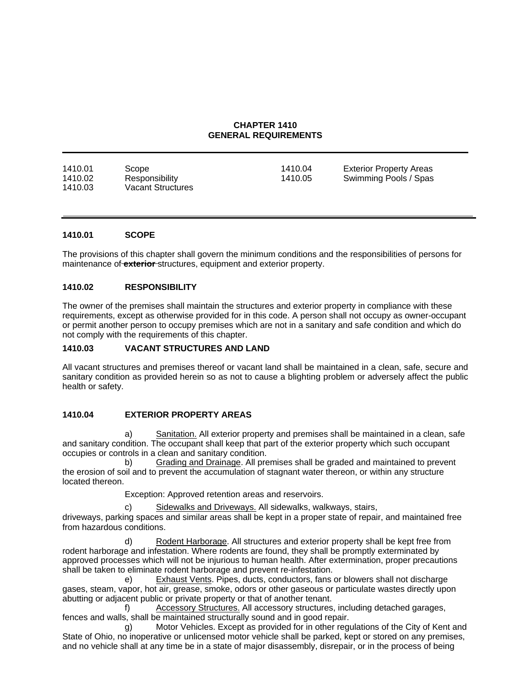## **CHAPTER 1410 GENERAL REQUIREMENTS**

| 1410.01<br>Scope<br>1410.02<br>1410.03 | Responsibility<br>Vacant Structures | 1410.04<br>1410.05 | <b>Exterior Property Areas</b><br>Swimming Pools / Spas |
|----------------------------------------|-------------------------------------|--------------------|---------------------------------------------------------|
|----------------------------------------|-------------------------------------|--------------------|---------------------------------------------------------|

## **1410.01 SCOPE**

The provisions of this chapter shall govern the minimum conditions and the responsibilities of persons for maintenance of **exterior** structures, equipment and exterior property.

## **1410.02 RESPONSIBILITY**

The owner of the premises shall maintain the structures and exterior property in compliance with these requirements, except as otherwise provided for in this code. A person shall not occupy as owner-occupant or permit another person to occupy premises which are not in a sanitary and safe condition and which do not comply with the requirements of this chapter.

## **1410.03 VACANT STRUCTURES AND LAND**

All vacant structures and premises thereof or vacant land shall be maintained in a clean, safe, secure and sanitary condition as provided herein so as not to cause a blighting problem or adversely affect the public health or safety.

## **1410.04 EXTERIOR PROPERTY AREAS**

Sanitation. All exterior property and premises shall be maintained in a clean, safe and sanitary condition. The occupant shall keep that part of the exterior property which such occupant occupies or controls in a clean and sanitary condition.

b) Grading and Drainage. All premises shall be graded and maintained to prevent the erosion of soil and to prevent the accumulation of stagnant water thereon, or within any structure located thereon.

Exception: Approved retention areas and reservoirs.

Sidewalks and Driveways. All sidewalks, walkways, stairs, driveways, parking spaces and similar areas shall be kept in a proper state of repair, and maintained free from hazardous conditions.

d) Rodent Harborage. All structures and exterior property shall be kept free from rodent harborage and infestation. Where rodents are found, they shall be promptly exterminated by approved processes which will not be injurious to human health. After extermination, proper precautions shall be taken to eliminate rodent harborage and prevent re-infestation.

e) Exhaust Vents. Pipes, ducts, conductors, fans or blowers shall not discharge gases, steam, vapor, hot air, grease, smoke, odors or other gaseous or particulate wastes directly upon abutting or adjacent public or private property or that of another tenant.

f) Accessory Structures. All accessory structures, including detached garages, fences and walls, shall be maintained structurally sound and in good repair.

g) Motor Vehicles. Except as provided for in other regulations of the City of Kent and State of Ohio, no inoperative or unlicensed motor vehicle shall be parked, kept or stored on any premises, and no vehicle shall at any time be in a state of major disassembly, disrepair, or in the process of being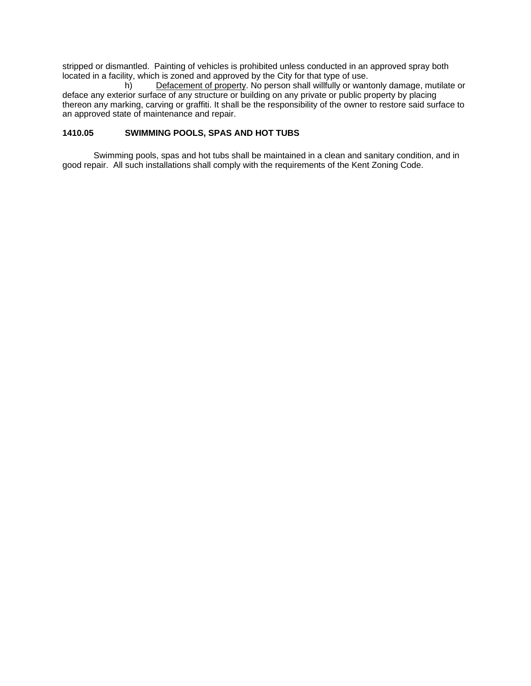stripped or dismantled. Painting of vehicles is prohibited unless conducted in an approved spray both located in a facility, which is zoned and approved by the City for that type of use.<br>h) Defacement of property. No person shall willfully or want

Defacement of property. No person shall willfully or wantonly damage, mutilate or deface any exterior surface of any structure or building on any private or public property by placing thereon any marking, carving or graffiti. It shall be the responsibility of the owner to restore said surface to an approved state of maintenance and repair.

## **1410.05 SWIMMING POOLS, SPAS AND HOT TUBS**

Swimming pools, spas and hot tubs shall be maintained in a clean and sanitary condition, and in good repair. All such installations shall comply with the requirements of the Kent Zoning Code.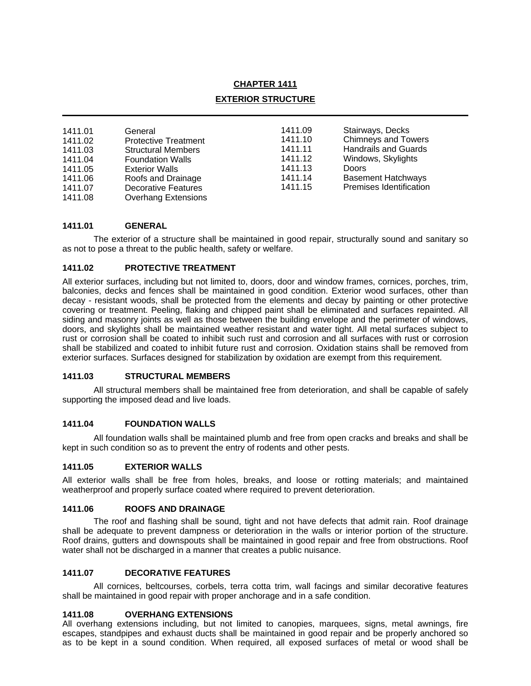## **CHAPTER 1411 EXTERIOR STRUCTURE**

| 1411.01 | General                     | 1411.09 | Stairways, Decks            |
|---------|-----------------------------|---------|-----------------------------|
| 1411.02 | <b>Protective Treatment</b> | 1411.10 | <b>Chimneys and Towers</b>  |
| 1411.03 | <b>Structural Members</b>   | 1411.11 | <b>Handrails and Guards</b> |
| 1411.04 | <b>Foundation Walls</b>     | 1411.12 | Windows, Skylights          |
| 1411.05 | <b>Exterior Walls</b>       | 1411.13 | Doors                       |
| 1411.06 | Roofs and Drainage          | 1411.14 | <b>Basement Hatchways</b>   |
| 1411.07 | <b>Decorative Features</b>  | 1411.15 | Premises Identification     |
| 1411.08 | <b>Overhang Extensions</b>  |         |                             |

## **1411.01 GENERAL**

The exterior of a structure shall be maintained in good repair, structurally sound and sanitary so as not to pose a threat to the public health, safety or welfare.

## **1411.02 PROTECTIVE TREATMENT**

All exterior surfaces, including but not limited to, doors, door and window frames, cornices, porches, trim, balconies, decks and fences shall be maintained in good condition. Exterior wood surfaces, other than decay - resistant woods, shall be protected from the elements and decay by painting or other protective covering or treatment. Peeling, flaking and chipped paint shall be eliminated and surfaces repainted. All siding and masonry joints as well as those between the building envelope and the perimeter of windows, doors, and skylights shall be maintained weather resistant and water tight. All metal surfaces subject to rust or corrosion shall be coated to inhibit such rust and corrosion and all surfaces with rust or corrosion shall be stabilized and coated to inhibit future rust and corrosion. Oxidation stains shall be removed from exterior surfaces. Surfaces designed for stabilization by oxidation are exempt from this requirement.

#### **1411.03 STRUCTURAL MEMBERS**

All structural members shall be maintained free from deterioration, and shall be capable of safely supporting the imposed dead and live loads.

## **1411.04 FOUNDATION WALLS**

All foundation walls shall be maintained plumb and free from open cracks and breaks and shall be kept in such condition so as to prevent the entry of rodents and other pests.

#### **1411.05 EXTERIOR WALLS**

All exterior walls shall be free from holes, breaks, and loose or rotting materials; and maintained weatherproof and properly surface coated where required to prevent deterioration.

#### **1411.06 ROOFS AND DRAINAGE**

The roof and flashing shall be sound, tight and not have defects that admit rain. Roof drainage shall be adequate to prevent dampness or deterioration in the walls or interior portion of the structure. Roof drains, gutters and downspouts shall be maintained in good repair and free from obstructions. Roof water shall not be discharged in a manner that creates a public nuisance.

#### **1411.07 DECORATIVE FEATURES**

All cornices, beltcourses, corbels, terra cotta trim, wall facings and similar decorative features shall be maintained in good repair with proper anchorage and in a safe condition.

## **1411.08 OVERHANG EXTENSIONS**

All overhang extensions including, but not limited to canopies, marquees, signs, metal awnings, fire escapes, standpipes and exhaust ducts shall be maintained in good repair and be properly anchored so as to be kept in a sound condition. When required, all exposed surfaces of metal or wood shall be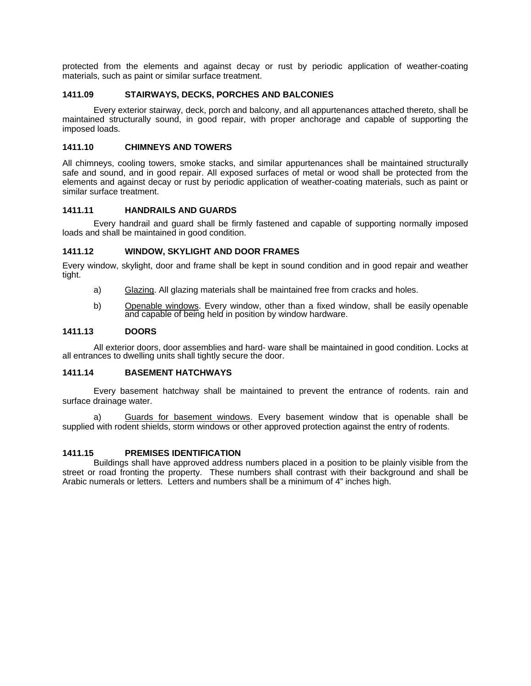protected from the elements and against decay or rust by periodic application of weather-coating materials, such as paint or similar surface treatment.

#### **1411.09 STAIRWAYS, DECKS, PORCHES AND BALCONIES**

Every exterior stairway, deck, porch and balcony, and all appurtenances attached thereto, shall be maintained structurally sound, in good repair, with proper anchorage and capable of supporting the imposed loads.

## **1411.10 CHIMNEYS AND TOWERS**

All chimneys, cooling towers, smoke stacks, and similar appurtenances shall be maintained structurally safe and sound, and in good repair. All exposed surfaces of metal or wood shall be protected from the elements and against decay or rust by periodic application of weather-coating materials, such as paint or similar surface treatment.

## **1411.11 HANDRAILS AND GUARDS**

Every handrail and guard shall be firmly fastened and capable of supporting normally imposed loads and shall be maintained in good condition.

#### **1411.12 WINDOW, SKYLIGHT AND DOOR FRAMES**

Every window, skylight, door and frame shall be kept in sound condition and in good repair and weather tight.

- a) Glazing. All glazing materials shall be maintained free from cracks and holes.
- b) Openable windows. Every window, other than a fixed window, shall be easily openable and capable of being held in position by window hardware.

#### **1411.13 DOORS**

All exterior doors, door assemblies and hard- ware shall be maintained in good condition. Locks at all entrances to dwelling units shall tightly secure the door.

#### **1411.14 BASEMENT HATCHWAYS**

Every basement hatchway shall be maintained to prevent the entrance of rodents. rain and surface drainage water.

a) Guards for basement windows. Every basement window that is openable shall be supplied with rodent shields, storm windows or other approved protection against the entry of rodents.

## **1411.15 PREMISES IDENTIFICATION**

Buildings shall have approved address numbers placed in a position to be plainly visible from the street or road fronting the property. These numbers shall contrast with their background and shall be Arabic numerals or letters. Letters and numbers shall be a minimum of 4" inches high.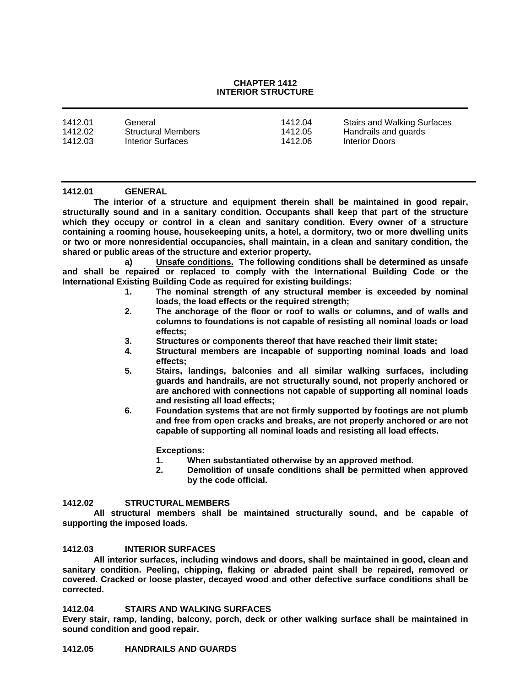#### **CHAPTER 1412 INTERIOR STRUCTURE**

| 1412.01<br>General<br><b>Structural Members</b><br>1412.02<br>1412.03<br>Interior Surfaces | 1412.04<br>1412.05<br>1412.06 | <b>Stairs and Walking Surfaces</b><br>Handrails and guards<br>Interior Doors |
|--------------------------------------------------------------------------------------------|-------------------------------|------------------------------------------------------------------------------|
|--------------------------------------------------------------------------------------------|-------------------------------|------------------------------------------------------------------------------|

#### **1412.01 GENERAL**

**The interior of a structure and equipment therein shall be maintained in good repair, structurally sound and in a sanitary condition. Occupants shall keep that part of the structure which they occupy or control in a clean and sanitary condition. Every owner of a structure containing a rooming house, housekeeping units, a hotel, a dormitory, two or more dwelling units or two or more nonresidential occupancies, shall maintain, in a clean and sanitary condition, the shared or public areas of the structure and exterior property.**

**a) Unsafe conditions. The following conditions shall be determined as unsafe and shall be repaired or replaced to comply with the International Building Code or the International Existing Building Code as required for existing buildings:**

- **1. The nominal strength of any structural member is exceeded by nominal loads, the load effects or the required strength;**
- **2. The anchorage of the floor or roof to walls or columns, and of walls and columns to foundations is not capable of resisting all nominal loads or load effects;**
- **3. Structures or components thereof that have reached their limit state;**
- **4. Structural members are incapable of supporting nominal loads and load effects;**
- **5. Stairs, landings, balconies and all similar walking surfaces, including guards and handrails, are not structurally sound, not properly anchored or are anchored with connections not capable of supporting all nominal loads and resisting all load effects;**
- **6. Foundation systems that are not firmly supported by footings are not plumb and free from open cracks and breaks, are not properly anchored or are not capable of supporting all nominal loads and resisting all load effects.**

**Exceptions:**

- **1. When substantiated otherwise by an approved method.**
- **2. Demolition of unsafe conditions shall be permitted when approved by the code official.**

#### **1412.02 STRUCTURAL MEMBERS**

**All structural members shall be maintained structurally sound, and be capable of supporting the imposed loads.**

#### **1412.03 INTERIOR SURFACES**

**All interior surfaces, including windows and doors, shall be maintained in good, clean and sanitary condition. Peeling, chipping, flaking or abraded paint shall be repaired, removed or covered. Cracked or loose plaster, decayed wood and other defective surface conditions shall be corrected.**

## **1412.04 STAIRS AND WALKING SURFACES**

**Every stair, ramp, landing, balcony, porch, deck or other walking surface shall be maintained in sound condition and good repair.**

#### **1412.05 HANDRAILS AND GUARDS**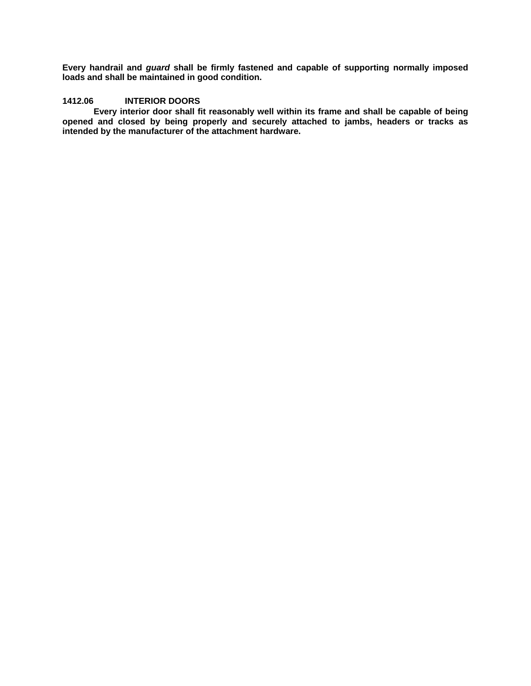**Every handrail and** *guard* **shall be firmly fastened and capable of supporting normally imposed loads and shall be maintained in good condition.**

## **1412.06 INTERIOR DOORS**

**Every interior door shall fit reasonably well within its frame and shall be capable of being opened and closed by being properly and securely attached to jambs, headers or tracks as intended by the manufacturer of the attachment hardware.**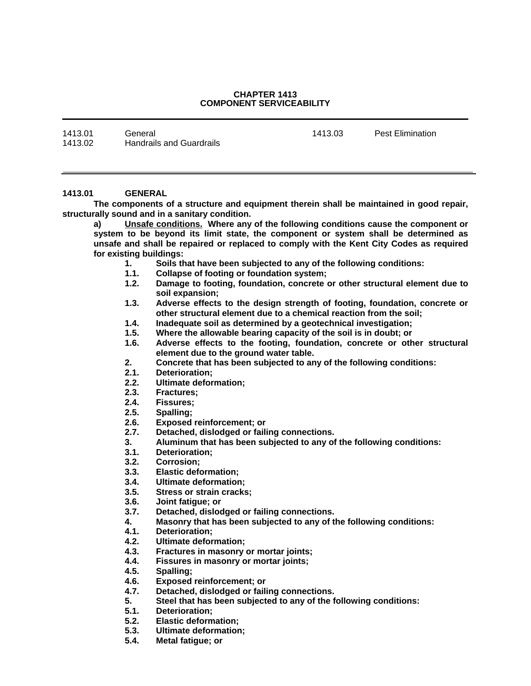#### **CHAPTER 1413 COMPONENT SERVICEABILITY**

1413.01 General 1413.03 Pest Elimination 1413.02 Handrails and Guardrails

#### **1413.01 GENERAL**

**The components of a structure and equipment therein shall be maintained in good repair, structurally sound and in a sanitary condition.**

**a) Unsafe conditions. Where any of the following conditions cause the component or system to be beyond its limit state, the component or system shall be determined as unsafe and shall be repaired or replaced to comply with the Kent City Codes as required for existing buildings:**

- **1. Soils that have been subjected to any of the following conditions:**
- **1.1. Collapse of footing or foundation system;**
- **1.2. Damage to footing, foundation, concrete or other structural element due to soil expansion;**
- **1.3. Adverse effects to the design strength of footing, foundation, concrete or other structural element due to a chemical reaction from the soil;**
- **1.4. Inadequate soil as determined by a geotechnical investigation;**
- **1.5. Where the allowable bearing capacity of the soil is in doubt; or**
- **1.6. Adverse effects to the footing, foundation, concrete or other structural element due to the ground water table.**
- **2. Concrete that has been subjected to any of the following conditions:**
- **2.1. Deterioration;**
- **2.2. Ultimate deformation;**
- **2.3. Fractures;**
- **2.4. Fissures;**
- **2.5. Spalling;**
- **2.6. Exposed reinforcement; or**
- **2.7. Detached, dislodged or failing connections.**
- **3. Aluminum that has been subjected to any of the following conditions:**
- **3.1. Deterioration;**
- **3.2. Corrosion;**
- **3.3. Elastic deformation;**
- **3.4. Ultimate deformation;**
- **3.5. Stress or strain cracks;**
- **3.6. Joint fatigue; or**
- **3.7. Detached, dislodged or failing connections.**
- **4. Masonry that has been subjected to any of the following conditions:**
- **4.1. Deterioration;**
- **4.2. Ultimate deformation;**
- **4.3. Fractures in masonry or mortar joints;**
- **4.4. Fissures in masonry or mortar joints;**
- **4.5. Spalling;**
- **4.6. Exposed reinforcement; or**
- **4.7. Detached, dislodged or failing connections.**
- **5. Steel that has been subjected to any of the following conditions:**
- **5.1. Deterioration;**
- **5.2. Elastic deformation;**
- **5.3. Ultimate deformation;**
- **5.4. Metal fatigue; or**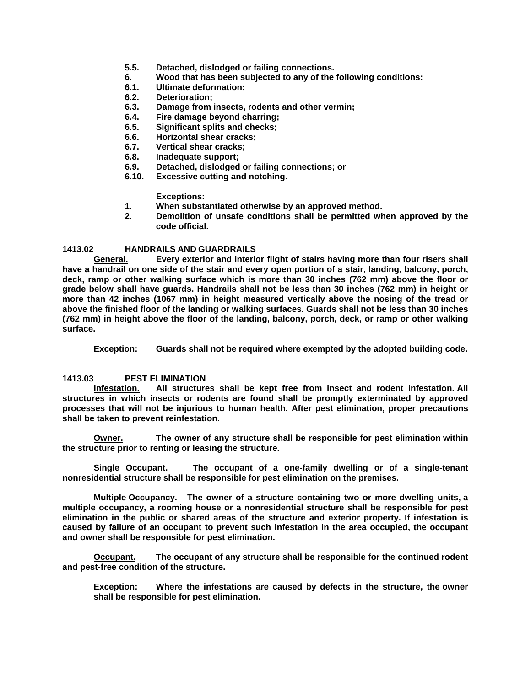- **5.5. Detached, dislodged or failing connections.**
- **6. Wood that has been subjected to any of the following conditions:**
- **6.1. Ultimate deformation;**
- **6.2. Deterioration;**
- **6.3. Damage from insects, rodents and other vermin;**
- **6.4. Fire damage beyond charring;**
- **6.5. Significant splits and checks;**
- **6.6. Horizontal shear cracks;**
- **6.7. Vertical shear cracks;**
- **6.8. Inadequate support;**
- **6.9. Detached, dislodged or failing connections; or**
- **6.10. Excessive cutting and notching.**

**Exceptions:**

- **1. When substantiated otherwise by an approved method.**
- **2. Demolition of unsafe conditions shall be permitted when approved by the code official.**

## **1413.02 HANDRAILS AND GUARDRAILS**

**General. Every exterior and interior flight of stairs having more than four risers shall have a handrail on one side of the stair and every open portion of a stair, landing, balcony, porch, deck, ramp or other walking surface which is more than 30 inches (762 mm) above the floor or grade below shall have guards. Handrails shall not be less than 30 inches (762 mm) in height or more than 42 inches (1067 mm) in height measured vertically above the nosing of the tread or above the finished floor of the landing or walking surfaces. Guards shall not be less than 30 inches (762 mm) in height above the floor of the landing, balcony, porch, deck, or ramp or other walking surface.**

**Exception: Guards shall not be required where exempted by the adopted building code.**

## **1413.03 PEST ELIMINATION**

**Infestation. All structures shall be kept free from insect and rodent infestation. All structures in which insects or rodents are found shall be promptly exterminated by approved processes that will not be injurious to human health. After pest elimination, proper precautions shall be taken to prevent reinfestation.**

**Owner. The owner of any structure shall be responsible for pest elimination within the structure prior to renting or leasing the structure.**

**Single Occupant. The occupant of a one-family dwelling or of a single-tenant nonresidential structure shall be responsible for pest elimination on the premises.**

**Multiple Occupancy. The owner of a structure containing two or more dwelling units, a multiple occupancy, a rooming house or a nonresidential structure shall be responsible for pest elimination in the public or shared areas of the structure and exterior property. If infestation is caused by failure of an occupant to prevent such infestation in the area occupied, the occupant and owner shall be responsible for pest elimination.**

**Occupant. The occupant of any structure shall be responsible for the continued rodent and pest-free condition of the structure.** 

**Exception: Where the infestations are caused by defects in the structure, the owner shall be responsible for pest elimination.**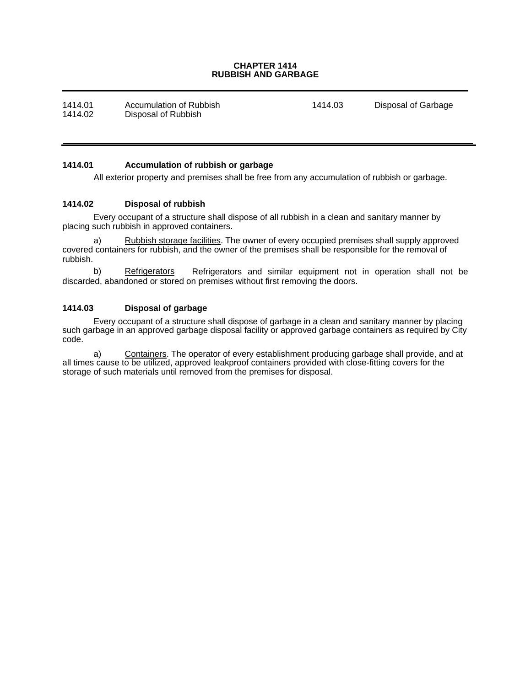#### **CHAPTER 1414 RUBBISH AND GARBAGE**

1414.01 Accumulation of Rubbish 1414.03 Disposal of Garbage 1414.02 Disposal of Rubbish

## **1414.01 Accumulation of rubbish or garbage**

All exterior property and premises shall be free from any accumulation of rubbish or garbage.

#### **1414.02 Disposal of rubbish**

Every occupant of a structure shall dispose of all rubbish in a clean and sanitary manner by placing such rubbish in approved containers.

a) Rubbish storage facilities. The owner of every occupied premises shall supply approved covered containers for rubbish, and the owner of the premises shall be responsible for the removal of rubbish.

b) Refrigerators Refrigerators and similar equipment not in operation shall not be discarded, abandoned or stored on premises without first removing the doors.

#### **1414.03 Disposal of garbage**

Every occupant of a structure shall dispose of garbage in a clean and sanitary manner by placing such garbage in an approved garbage disposal facility or approved garbage containers as required by City code.

a) Containers. The operator of every establishment producing garbage shall provide, and at all times cause to be utilized, approved leakproof containers provided with close-fitting covers for the storage of such materials until removed from the premises for disposal.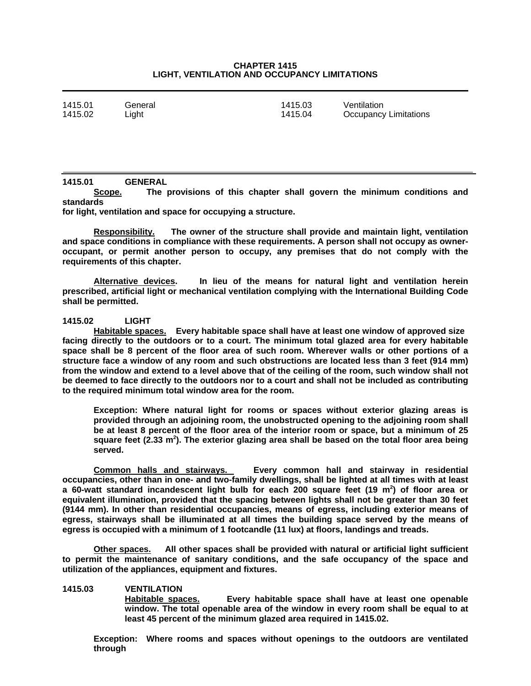#### **CHAPTER 1415 LIGHT, VENTILATION AND OCCUPANCY LIMITATIONS**

1415.01 General 1415.02 Light

1415.03 Ventilation

1415.04 Occupancy Limitations

#### **1415.01 GENERAL**

**Scope. The provisions of this chapter shall govern the minimum conditions and standards** 

**for light, ventilation and space for occupying a structure.**

**Responsibility. The owner of the structure shall provide and maintain light, ventilation and space conditions in compliance with these requirements. A person shall not occupy as owneroccupant, or permit another person to occupy, any premises that do not comply with the requirements of this chapter.**

**Alternative devices. In lieu of the means for natural light and ventilation herein prescribed, artificial light or mechanical ventilation complying with the International Building Code shall be permitted.**

#### **1415.02 LIGHT**

**Habitable spaces. Every habitable space shall have at least one window of approved size facing directly to the outdoors or to a court. The minimum total glazed area for every habitable space shall be 8 percent of the floor area of such room. Wherever walls or other portions of a structure face a window of any room and such obstructions are located less than 3 feet (914 mm) from the window and extend to a level above that of the ceiling of the room, such window shall not be deemed to face directly to the outdoors nor to a court and shall not be included as contributing to the required minimum total window area for the room.** 

**Exception: Where natural light for rooms or spaces without exterior glazing areas is provided through an adjoining room, the unobstructed opening to the adjoining room shall be at least 8 percent of the floor area of the interior room or space, but a minimum of 25 square feet (2.33 m<sup>2</sup> ). The exterior glazing area shall be based on the total floor area being served.**

**Common halls and stairways. Every common hall and stairway in residential occupancies, other than in one- and two-family dwellings, shall be lighted at all times with at least a 60-watt standard incandescent light bulb for each 200 square feet (19 m<sup>2</sup> ) of floor area or equivalent illumination, provided that the spacing between lights shall not be greater than 30 feet (9144 mm). In other than residential occupancies, means of egress, including exterior means of egress, stairways shall be illuminated at all times the building space served by the means of egress is occupied with a minimum of 1 footcandle (11 lux) at floors, landings and treads.**

**Other spaces. All other spaces shall be provided with natural or artificial light sufficient to permit the maintenance of sanitary conditions, and the safe occupancy of the space and utilization of the appliances, equipment and fixtures.**

#### **1415.03 VENTILATION**

**Habitable spaces. Every habitable space shall have at least one openable window. The total openable area of the window in every room shall be equal to at least 45 percent of the minimum glazed area required in 1415.02.**

**Exception: Where rooms and spaces without openings to the outdoors are ventilated through**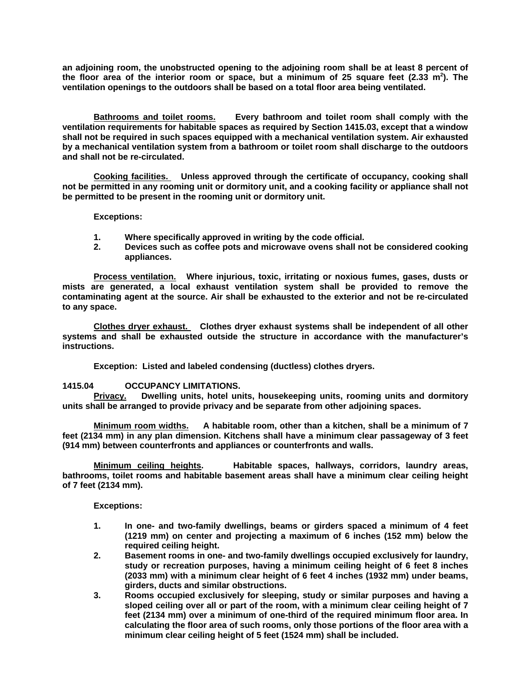**an adjoining room, the unobstructed opening to the adjoining room shall be at least 8 percent of** the floor area of the interior room or space, but a minimum of 25 square feet (2.33 m<sup>2</sup>). The **ventilation openings to the outdoors shall be based on a total floor area being ventilated.**

**Bathrooms and toilet rooms. Every bathroom and toilet room shall comply with the ventilation requirements for habitable spaces as required by Section 1415.03, except that a window shall not be required in such spaces equipped with a mechanical ventilation system. Air exhausted by a mechanical ventilation system from a bathroom or toilet room shall discharge to the outdoors and shall not be re-circulated.**

**Cooking facilities. Unless approved through the certificate of occupancy, cooking shall not be permitted in any rooming unit or dormitory unit, and a cooking facility or appliance shall not be permitted to be present in the rooming unit or dormitory unit.** 

#### **Exceptions:**

- **1. Where specifically approved in writing by the code official.**
- **2. Devices such as coffee pots and microwave ovens shall not be considered cooking appliances.**

**Process ventilation. Where injurious, toxic, irritating or noxious fumes, gases, dusts or mists are generated, a local exhaust ventilation system shall be provided to remove the contaminating agent at the source. Air shall be exhausted to the exterior and not be re-circulated to any space.**

**Clothes dryer exhaust. Clothes dryer exhaust systems shall be independent of all other systems and shall be exhausted outside the structure in accordance with the manufacturer's instructions.** 

**Exception: Listed and labeled condensing (ductless) clothes dryers.**

# **1415.04 OCCUPANCY LIMITATIONS.**

**Privacy. Dwelling units, hotel units, housekeeping units, rooming units and dormitory units shall be arranged to provide privacy and be separate from other adjoining spaces.**

**Minimum room widths. A habitable room, other than a kitchen, shall be a minimum of 7 feet (2134 mm) in any plan dimension. Kitchens shall have a minimum clear passageway of 3 feet (914 mm) between counterfronts and appliances or counterfronts and walls.**

**Minimum ceiling heights. Habitable spaces, hallways, corridors, laundry areas, bathrooms, toilet rooms and habitable basement areas shall have a minimum clear ceiling height of 7 feet (2134 mm).** 

#### **Exceptions:**

- **1. In one- and two-family dwellings, beams or girders spaced a minimum of 4 feet (1219 mm) on center and projecting a maximum of 6 inches (152 mm) below the required ceiling height.**
- **2. Basement rooms in one- and two-family dwellings occupied exclusively for laundry, study or recreation purposes, having a minimum ceiling height of 6 feet 8 inches (2033 mm) with a minimum clear height of 6 feet 4 inches (1932 mm) under beams, girders, ducts and similar obstructions.**
- **3. Rooms occupied exclusively for sleeping, study or similar purposes and having a sloped ceiling over all or part of the room, with a minimum clear ceiling height of 7 feet (2134 mm) over a minimum of one-third of the required minimum floor area. In calculating the floor area of such rooms, only those portions of the floor area with a minimum clear ceiling height of 5 feet (1524 mm) shall be included.**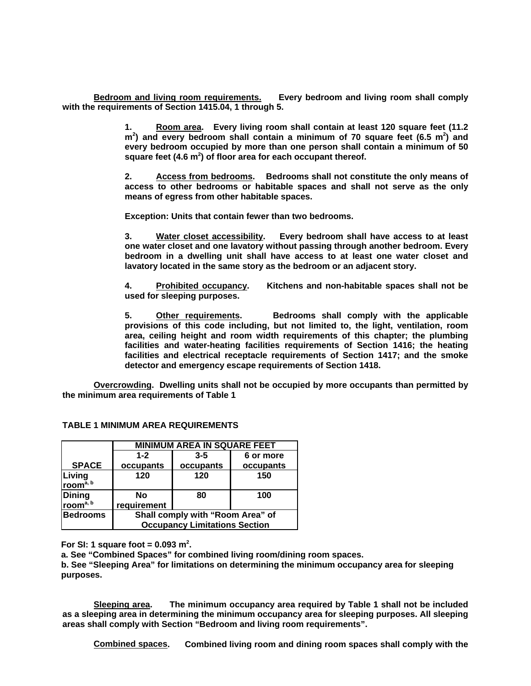**Bedroom and living room requirements. Every bedroom and living room shall comply with the requirements of Section 1415.04, 1 through 5.**

> **1. Room area. Every living room shall contain at least 120 square feet (11.2 m<sup>2</sup> ) and every bedroom shall contain a minimum of 70 square feet (6.5 m<sup>2</sup> ) and every bedroom occupied by more than one person shall contain a minimum of 50** square feet (4.6 m<sup>2</sup>) of floor area for each occupant thereof.

> **2. Access from bedrooms. Bedrooms shall not constitute the only means of access to other bedrooms or habitable spaces and shall not serve as the only means of egress from other habitable spaces.**

**Exception: Units that contain fewer than two bedrooms.**

**3. Water closet accessibility. Every bedroom shall have access to at least one water closet and one lavatory without passing through another bedroom. Every bedroom in a dwelling unit shall have access to at least one water closet and lavatory located in the same story as the bedroom or an adjacent story.** 

**4. Prohibited occupancy. Kitchens and non-habitable spaces shall not be used for sleeping purposes.** 

**5. Other requirements. Bedrooms shall comply with the applicable provisions of this code including, but not limited to, the light, ventilation, room area, ceiling height and room width requirements of this chapter; the plumbing facilities and water-heating facilities requirements of Section 1416; the heating facilities and electrical receptacle requirements of Section 1417; and the smoke detector and emergency escape requirements of Section 1418.** 

**Overcrowding. Dwelling units shall not be occupied by more occupants than permitted by the minimum area requirements of Table 1** 

|                                | <b>MINIMUM AREA IN SQUARE FEET</b>   |           |           |
|--------------------------------|--------------------------------------|-----------|-----------|
|                                | $1 - 2$                              | $3 - 5$   | 6 or more |
| <b>SPACE</b>                   | occupants                            | occupants | occupants |
| Living<br>room <sup>a, b</sup> | 120                                  | 120       | 150       |
|                                |                                      |           |           |
| Dining<br>room <sup>a, b</sup> | No                                   | 80        | 100       |
|                                | requirement                          |           |           |
| <b>Bedrooms</b>                | Shall comply with "Room Area" of     |           |           |
|                                | <b>Occupancy Limitations Section</b> |           |           |

**TABLE 1 MINIMUM AREA REQUIREMENTS** 

**For SI: 1 square foot = 0.093 m<sup>2</sup>.** 

**a. See "Combined Spaces" for combined living room/dining room spaces.** 

**b. See "Sleeping Area" for limitations on determining the minimum occupancy area for sleeping purposes.** 

**Sleeping area. The minimum occupancy area required by Table 1 shall not be included as a sleeping area in determining the minimum occupancy area for sleeping purposes. All sleeping areas shall comply with Section "Bedroom and living room requirements".**

**Combined spaces. Combined living room and dining room spaces shall comply with the**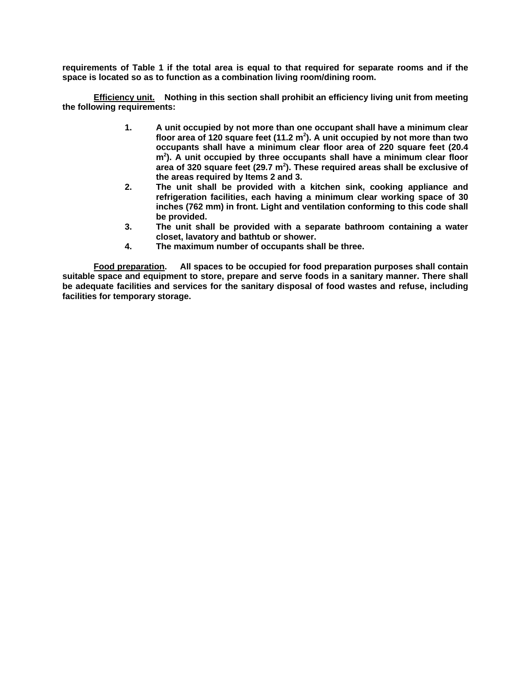**requirements of Table 1 if the total area is equal to that required for separate rooms and if the space is located so as to function as a combination living room/dining room.**

**Efficiency unit. Nothing in this section shall prohibit an efficiency living unit from meeting the following requirements:** 

- **1. A unit occupied by not more than one occupant shall have a minimum clear floor area of 120 square feet (11.2 m<sup>2</sup> ). A unit occupied by not more than two occupants shall have a minimum clear floor area of 220 square feet (20.4 m<sup>2</sup> ). A unit occupied by three occupants shall have a minimum clear floor area of 320 square feet (29.7 m<sup>2</sup> ). These required areas shall be exclusive of the areas required by Items 2 and 3.**
- **2. The unit shall be provided with a kitchen sink, cooking appliance and refrigeration facilities, each having a minimum clear working space of 30 inches (762 mm) in front. Light and ventilation conforming to this code shall be provided.**
- **3. The unit shall be provided with a separate bathroom containing a water closet, lavatory and bathtub or shower.**
- **4. The maximum number of occupants shall be three.**

**Food preparation. All spaces to be occupied for food preparation purposes shall contain suitable space and equipment to store, prepare and serve foods in a sanitary manner. There shall be adequate facilities and services for the sanitary disposal of food wastes and refuse, including facilities for temporary storage.**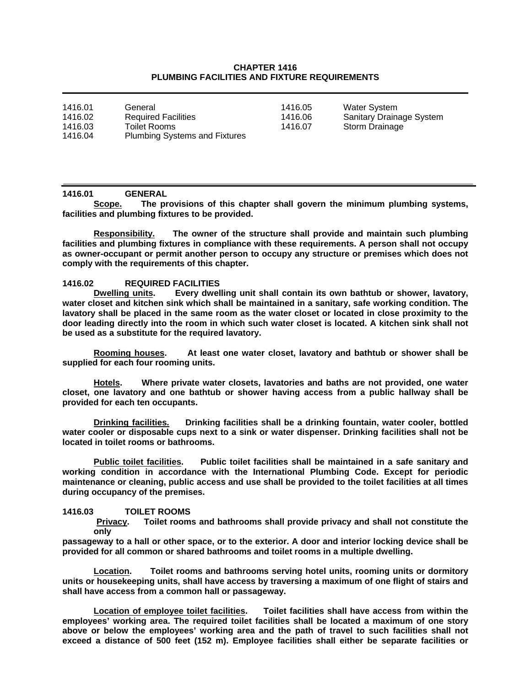## **CHAPTER 1416 PLUMBING FACILITIES AND FIXTURE REQUIREMENTS**

| 1416.01 | General                              |
|---------|--------------------------------------|
| 1416.02 | <b>Required Facilities</b>           |
| 1416.03 | <b>Toilet Rooms</b>                  |
| 1416.04 | <b>Plumbing Systems and Fixtures</b> |

1416.05 Water System 1416.06 Sanitary Drainage System<br>1416.07 Storm Drainage Storm Drainage

#### **1416.01 GENERAL**

**Scope. The provisions of this chapter shall govern the minimum plumbing systems, facilities and plumbing fixtures to be provided.**

**Responsibility. The owner of the structure shall provide and maintain such plumbing facilities and plumbing fixtures in compliance with these requirements. A person shall not occupy as owner-occupant or permit another person to occupy any structure or premises which does not comply with the requirements of this chapter.**

#### **1416.02 REQUIRED FACILITIES**

**Dwelling units. Every dwelling unit shall contain its own bathtub or shower, lavatory, water closet and kitchen sink which shall be maintained in a sanitary, safe working condition. The lavatory shall be placed in the same room as the water closet or located in close proximity to the door leading directly into the room in which such water closet is located. A kitchen sink shall not be used as a substitute for the required lavatory.**

**Rooming houses. At least one water closet, lavatory and bathtub or shower shall be supplied for each four rooming units.**

**Hotels. Where private water closets, lavatories and baths are not provided, one water closet, one lavatory and one bathtub or shower having access from a public hallway shall be provided for each ten occupants.**

**Drinking facilities. Drinking facilities shall be a drinking fountain, water cooler, bottled water cooler or disposable cups next to a sink or water dispenser. Drinking facilities shall not be located in toilet rooms or bathrooms.**

**Public toilet facilities. Public toilet facilities shall be maintained in a safe sanitary and working condition in accordance with the International Plumbing Code. Except for periodic maintenance or cleaning, public access and use shall be provided to the toilet facilities at all times during occupancy of the premises.**

#### **1416.03 TOILET ROOMS**

 **Privacy. Toilet rooms and bathrooms shall provide privacy and shall not constitute the only** 

**passageway to a hall or other space, or to the exterior. A door and interior locking device shall be provided for all common or shared bathrooms and toilet rooms in a multiple dwelling.**

**Location. Toilet rooms and bathrooms serving hotel units, rooming units or dormitory units or housekeeping units, shall have access by traversing a maximum of one flight of stairs and shall have access from a common hall or passageway.**

**Location of employee toilet facilities. Toilet facilities shall have access from within the employees' working area. The required toilet facilities shall be located a maximum of one story above or below the employees' working area and the path of travel to such facilities shall not exceed a distance of 500 feet (152 m). Employee facilities shall either be separate facilities or**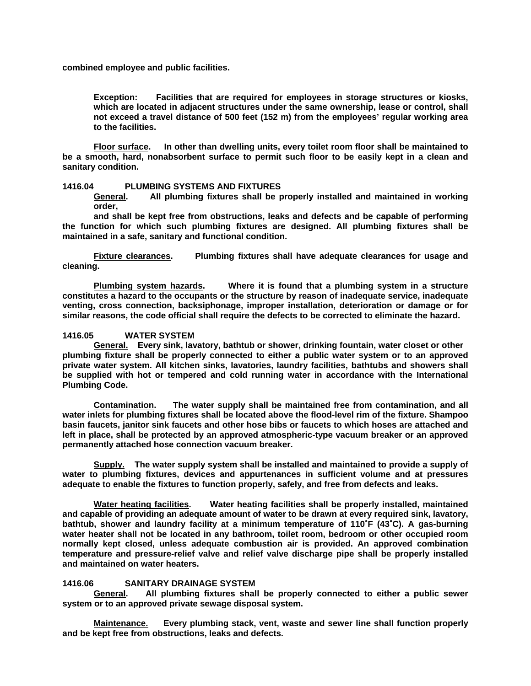**combined employee and public facilities.** 

**Exception: Facilities that are required for employees in storage structures or kiosks, which are located in adjacent structures under the same ownership, lease or control, shall not exceed a travel distance of 500 feet (152 m) from the employees' regular working area to the facilities.**

**Floor surface. In other than dwelling units, every toilet room floor shall be maintained to be a smooth, hard, nonabsorbent surface to permit such floor to be easily kept in a clean and sanitary condition.**

#### **1416.04 PLUMBING SYSTEMS AND FIXTURES**

**General. All plumbing fixtures shall be properly installed and maintained in working order,** 

**and shall be kept free from obstructions, leaks and defects and be capable of performing the function for which such plumbing fixtures are designed. All plumbing fixtures shall be maintained in a safe, sanitary and functional condition.**

**Fixture clearances. Plumbing fixtures shall have adequate clearances for usage and cleaning.**

**Plumbing system hazards. Where it is found that a plumbing system in a structure constitutes a hazard to the occupants or the structure by reason of inadequate service, inadequate venting, cross connection, backsiphonage, improper installation, deterioration or damage or for similar reasons, the code official shall require the defects to be corrected to eliminate the hazard.**

#### **1416.05 WATER SYSTEM**

**General. Every sink, lavatory, bathtub or shower, drinking fountain, water closet or other plumbing fixture shall be properly connected to either a public water system or to an approved private water system. All kitchen sinks, lavatories, laundry facilities, bathtubs and showers shall be supplied with hot or tempered and cold running water in accordance with the International Plumbing Code.**

**Contamination. The water supply shall be maintained free from contamination, and all water inlets for plumbing fixtures shall be located above the flood-level rim of the fixture. Shampoo basin faucets, janitor sink faucets and other hose bibs or faucets to which hoses are attached and left in place, shall be protected by an approved atmospheric-type vacuum breaker or an approved permanently attached hose connection vacuum breaker.**

**Supply. The water supply system shall be installed and maintained to provide a supply of water to plumbing fixtures, devices and appurtenances in sufficient volume and at pressures adequate to enable the fixtures to function properly, safely, and free from defects and leaks.**

**Water heating facilities. Water heating facilities shall be properly installed, maintained and capable of providing an adequate amount of water to be drawn at every required sink, lavatory, bathtub, shower and laundry facility at a minimum temperature of 110**/**F (43**/**C). A gas-burning water heater shall not be located in any bathroom, toilet room, bedroom or other occupied room normally kept closed, unless adequate combustion air is provided. An approved combination temperature and pressure-relief valve and relief valve discharge pipe shall be properly installed and maintained on water heaters.**

## **1416.06 SANITARY DRAINAGE SYSTEM**

**General. All plumbing fixtures shall be properly connected to either a public sewer system or to an approved private sewage disposal system.**

**Maintenance. Every plumbing stack, vent, waste and sewer line shall function properly and be kept free from obstructions, leaks and defects.**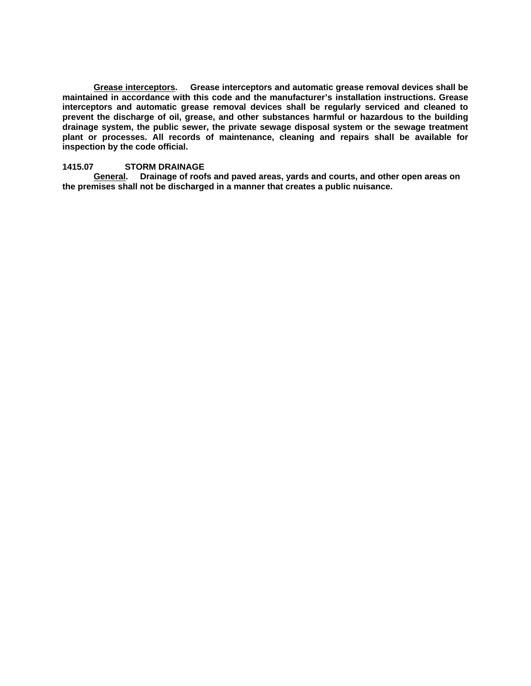**Grease interceptors. Grease interceptors and automatic grease removal devices shall be maintained in accordance with this code and the manufacturer's installation instructions. Grease interceptors and automatic grease removal devices shall be regularly serviced and cleaned to prevent the discharge of oil, grease, and other substances harmful or hazardous to the building drainage system, the public sewer, the private sewage disposal system or the sewage treatment plant or processes. All records of maintenance, cleaning and repairs shall be available for inspection by the code official.**

## **1415.07 STORM DRAINAGE**

**General. Drainage of roofs and paved areas, yards and courts, and other open areas on the premises shall not be discharged in a manner that creates a public nuisance.**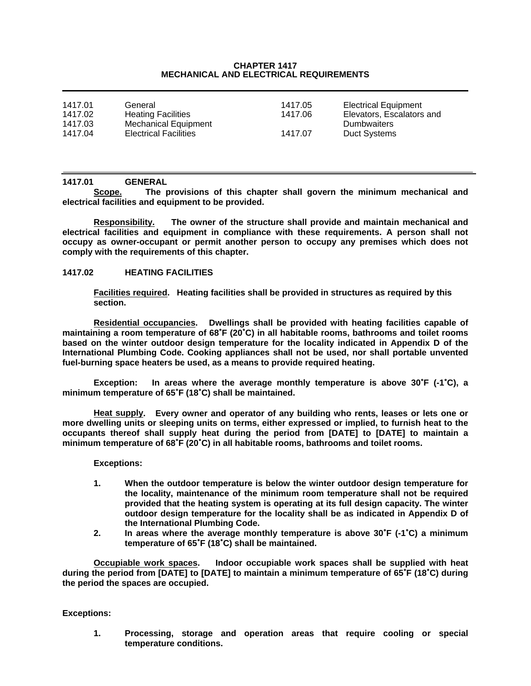#### **CHAPTER 1417 MECHANICAL AND ELECTRICAL REQUIREMENTS**

| 1417.01<br>1417.05<br>General<br>1417.02<br><b>Heating Facilities</b><br>1417.06<br>1417.03<br><b>Mechanical Equipment</b><br>1417.04<br><b>Electrical Facilities</b><br>1417.07 | <b>Electrical Equipment</b><br>Elevators, Escalators and<br><b>Dumbwaiters</b><br>Duct Systems |
|----------------------------------------------------------------------------------------------------------------------------------------------------------------------------------|------------------------------------------------------------------------------------------------|
|----------------------------------------------------------------------------------------------------------------------------------------------------------------------------------|------------------------------------------------------------------------------------------------|

#### **1417.01 GENERAL**

**Scope. The provisions of this chapter shall govern the minimum mechanical and electrical facilities and equipment to be provided.** 

**Responsibility. The owner of the structure shall provide and maintain mechanical and electrical facilities and equipment in compliance with these requirements. A person shall not occupy as owner-occupant or permit another person to occupy any premises which does not comply with the requirements of this chapter.**

#### **1417.02 HEATING FACILITIES**

**Facilities required. Heating facilities shall be provided in structures as required by this section.**

**Residential occupancies. Dwellings shall be provided with heating facilities capable of maintaining a room temperature of 68**/**F (20**/**C) in all habitable rooms, bathrooms and toilet rooms based on the winter outdoor design temperature for the locality indicated in Appendix D of the International Plumbing Code. Cooking appliances shall not be used, nor shall portable unvented fuel-burning space heaters be used, as a means to provide required heating.** 

**Exception: In areas where the average monthly temperature is above 30**/**F (-1**/**C), a minimum temperature of 65**/**F (18**/**C) shall be maintained.**

**Heat supply. Every owner and operator of any building who rents, leases or lets one or more dwelling units or sleeping units on terms, either expressed or implied, to furnish heat to the occupants thereof shall supply heat during the period from [DATE] to [DATE] to maintain a minimum temperature of 68**/**F (20**/**C) in all habitable rooms, bathrooms and toilet rooms.** 

#### **Exceptions:**

- **1. When the outdoor temperature is below the winter outdoor design temperature for the locality, maintenance of the minimum room temperature shall not be required provided that the heating system is operating at its full design capacity. The winter outdoor design temperature for the locality shall be as indicated in Appendix D of the International Plumbing Code.**
- **2. In areas where the average monthly temperature is above 30**/**F (-1**/**C) a minimum temperature of 65**/**F (18**/**C) shall be maintained.**

**Occupiable work spaces. Indoor occupiable work spaces shall be supplied with heat during the period from [DATE] to [DATE] to maintain a minimum temperature of 65**/**F (18**/**C) during the period the spaces are occupied.** 

## **Exceptions:**

**1. Processing, storage and operation areas that require cooling or special temperature conditions.**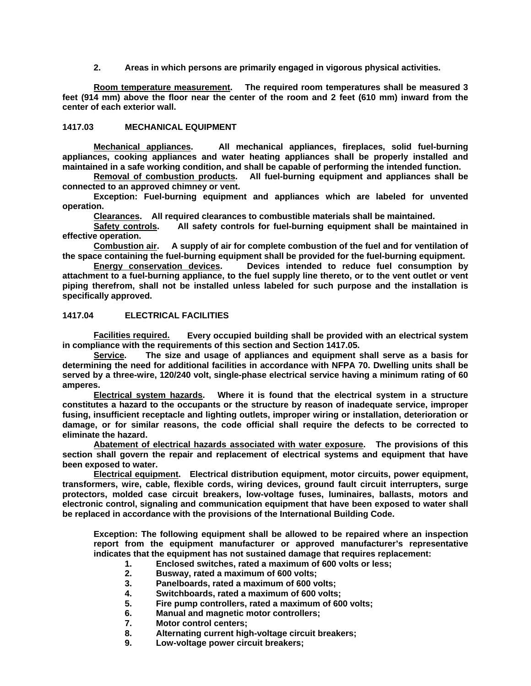**2. Areas in which persons are primarily engaged in vigorous physical activities.**

**Room temperature measurement. The required room temperatures shall be measured 3 feet (914 mm) above the floor near the center of the room and 2 feet (610 mm) inward from the center of each exterior wall.**

#### **1417.03 MECHANICAL EQUIPMENT**

**Mechanical appliances. All mechanical appliances, fireplaces, solid fuel-burning appliances, cooking appliances and water heating appliances shall be properly installed and maintained in a safe working condition, and shall be capable of performing the intended function.**

**Removal of combustion products. All fuel-burning equipment and appliances shall be connected to an approved chimney or vent.** 

**Exception: Fuel-burning equipment and appliances which are labeled for unvented operation.**

**Clearances. All required clearances to combustible materials shall be maintained.**

**Safety controls. All safety controls for fuel-burning equipment shall be maintained in effective operation.**

**Combustion air. A supply of air for complete combustion of the fuel and for ventilation of the space containing the fuel-burning equipment shall be provided for the fuel-burning equipment.**

**Energy conservation devices. Devices intended to reduce fuel consumption by attachment to a fuel-burning appliance, to the fuel supply line thereto, or to the vent outlet or vent piping therefrom, shall not be installed unless labeled for such purpose and the installation is specifically approved.**

## **1417.04 ELECTRICAL FACILITIES**

**Facilities required. Every occupied building shall be provided with an electrical system in compliance with the requirements of this section and Section 1417.05.**

**Service. The size and usage of appliances and equipment shall serve as a basis for determining the need for additional facilities in accordance with NFPA 70. Dwelling units shall be served by a three-wire, 120/240 volt, single-phase electrical service having a minimum rating of 60 amperes.**

**Electrical system hazards. Where it is found that the electrical system in a structure constitutes a hazard to the occupants or the structure by reason of inadequate service, improper fusing, insufficient receptacle and lighting outlets, improper wiring or installation, deterioration or damage, or for similar reasons, the code official shall require the defects to be corrected to eliminate the hazard.**

**Abatement of electrical hazards associated with water exposure. The provisions of this section shall govern the repair and replacement of electrical systems and equipment that have been exposed to water.** 

**Electrical equipment. Electrical distribution equipment, motor circuits, power equipment, transformers, wire, cable, flexible cords, wiring devices, ground fault circuit interrupters, surge protectors, molded case circuit breakers, low-voltage fuses, luminaires, ballasts, motors and electronic control, signaling and communication equipment that have been exposed to water shall be replaced in accordance with the provisions of the International Building Code.** 

**Exception: The following equipment shall be allowed to be repaired where an inspection report from the equipment manufacturer or approved manufacturer's representative indicates that the equipment has not sustained damage that requires replacement:** 

- **1. Enclosed switches, rated a maximum of 600 volts or less;**
- **2. Busway, rated a maximum of 600 volts;**
- **3. Panelboards, rated a maximum of 600 volts;**
- **4. Switchboards, rated a maximum of 600 volts;**
- **5. Fire pump controllers, rated a maximum of 600 volts;**
- **6. Manual and magnetic motor controllers;**
- **7. Motor control centers;**
- **8. Alternating current high-voltage circuit breakers;**
- **9. Low-voltage power circuit breakers;**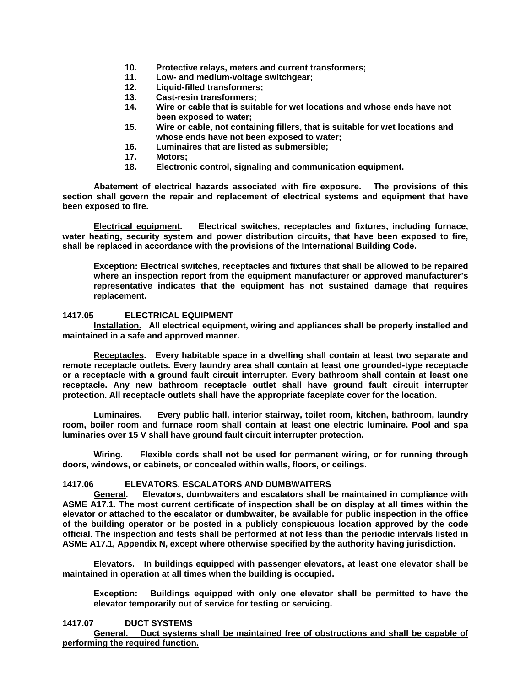- **10. Protective relays, meters and current transformers;**
- **11. Low- and medium-voltage switchgear;**
- **12. Liquid-filled transformers;**
- **13. Cast-resin transformers;**
- **14. Wire or cable that is suitable for wet locations and whose ends have not been exposed to water;**
- **15. Wire or cable, not containing fillers, that is suitable for wet locations and whose ends have not been exposed to water;**
- **16. Luminaires that are listed as submersible;**
- **17. Motors;**
- **18. Electronic control, signaling and communication equipment.**

**Abatement of electrical hazards associated with fire exposure. The provisions of this section shall govern the repair and replacement of electrical systems and equipment that have been exposed to fire.** 

**Electrical equipment. Electrical switches, receptacles and fixtures, including furnace, water heating, security system and power distribution circuits, that have been exposed to fire, shall be replaced in accordance with the provisions of the International Building Code.** 

**Exception: Electrical switches, receptacles and fixtures that shall be allowed to be repaired where an inspection report from the equipment manufacturer or approved manufacturer's representative indicates that the equipment has not sustained damage that requires replacement.**

#### **1417.05 ELECTRICAL EQUIPMENT**

**Installation. All electrical equipment, wiring and appliances shall be properly installed and maintained in a safe and approved manner.**

**Receptacles. Every habitable space in a dwelling shall contain at least two separate and remote receptacle outlets. Every laundry area shall contain at least one grounded-type receptacle or a receptacle with a ground fault circuit interrupter. Every bathroom shall contain at least one receptacle. Any new bathroom receptacle outlet shall have ground fault circuit interrupter protection. All receptacle outlets shall have the appropriate faceplate cover for the location.**

**Luminaires. Every public hall, interior stairway, toilet room, kitchen, bathroom, laundry room, boiler room and furnace room shall contain at least one electric luminaire. Pool and spa luminaries over 15 V shall have ground fault circuit interrupter protection.**

**Wiring. Flexible cords shall not be used for permanent wiring, or for running through doors, windows, or cabinets, or concealed within walls, floors, or ceilings.**

## **1417.06 ELEVATORS, ESCALATORS AND DUMBWAITERS**

**General. Elevators, dumbwaiters and escalators shall be maintained in compliance with ASME A17.1. The most current certificate of inspection shall be on display at all times within the elevator or attached to the escalator or dumbwaiter, be available for public inspection in the office of the building operator or be posted in a publicly conspicuous location approved by the code official. The inspection and tests shall be performed at not less than the periodic intervals listed in ASME A17.1, Appendix N, except where otherwise specified by the authority having jurisdiction.**

**Elevators. In buildings equipped with passenger elevators, at least one elevator shall be maintained in operation at all times when the building is occupied.**

**Exception: Buildings equipped with only one elevator shall be permitted to have the elevator temporarily out of service for testing or servicing.**

#### **1417.07 DUCT SYSTEMS**

**General. Duct systems shall be maintained free of obstructions and shall be capable of performing the required function.**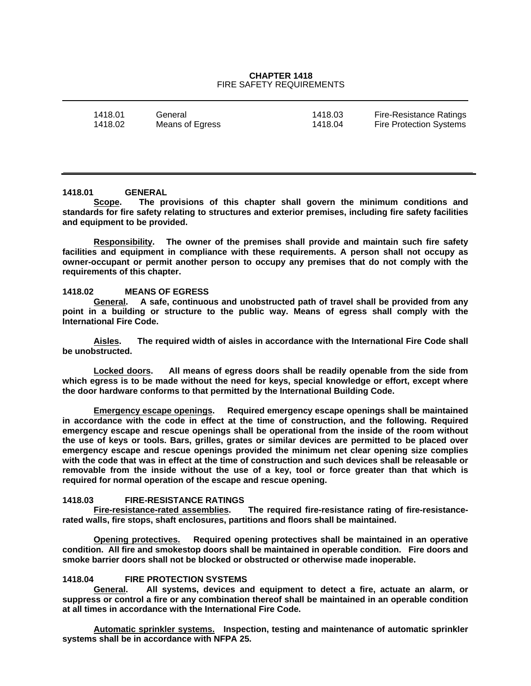#### **CHAPTER 1418** FIRE SAFETY REQUIREMENTS

| 1418.01 | General         | 1418.03 | <b>Fire-Resistance Ratings</b> |
|---------|-----------------|---------|--------------------------------|
| 1418.02 | Means of Egress | 1418.04 | <b>Fire Protection Systems</b> |

#### **1418.01 GENERAL**

**Scope. The provisions of this chapter shall govern the minimum conditions and standards for fire safety relating to structures and exterior premises, including fire safety facilities and equipment to be provided.** 

**Responsibility. The owner of the premises shall provide and maintain such fire safety facilities and equipment in compliance with these requirements. A person shall not occupy as owner-occupant or permit another person to occupy any premises that do not comply with the requirements of this chapter.**

#### **1418.02 MEANS OF EGRESS**

**General. A safe, continuous and unobstructed path of travel shall be provided from any point in a building or structure to the public way. Means of egress shall comply with the International Fire Code.**

**Aisles. The required width of aisles in accordance with the International Fire Code shall be unobstructed.**

**Locked doors. All means of egress doors shall be readily openable from the side from which egress is to be made without the need for keys, special knowledge or effort, except where the door hardware conforms to that permitted by the International Building Code.**

**Emergency escape openings. Required emergency escape openings shall be maintained in accordance with the code in effect at the time of construction, and the following. Required emergency escape and rescue openings shall be operational from the inside of the room without the use of keys or tools. Bars, grilles, grates or similar devices are permitted to be placed over emergency escape and rescue openings provided the minimum net clear opening size complies with the code that was in effect at the time of construction and such devices shall be releasable or removable from the inside without the use of a key, tool or force greater than that which is required for normal operation of the escape and rescue opening.**

## **1418.03 FIRE-RESISTANCE RATINGS**

**Fire-resistance-rated assemblies. The required fire-resistance rating of fire-resistancerated walls, fire stops, shaft enclosures, partitions and floors shall be maintained.**

**Opening protectives. Required opening protectives shall be maintained in an operative condition. All fire and smokestop doors shall be maintained in operable condition. Fire doors and smoke barrier doors shall not be blocked or obstructed or otherwise made inoperable.**

#### **1418.04 FIRE PROTECTION SYSTEMS**

**General. All systems, devices and equipment to detect a fire, actuate an alarm, or suppress or control a fire or any combination thereof shall be maintained in an operable condition at all times in accordance with the International Fire Code.**

**Automatic sprinkler systems. Inspection, testing and maintenance of automatic sprinkler systems shall be in accordance with NFPA 25.**